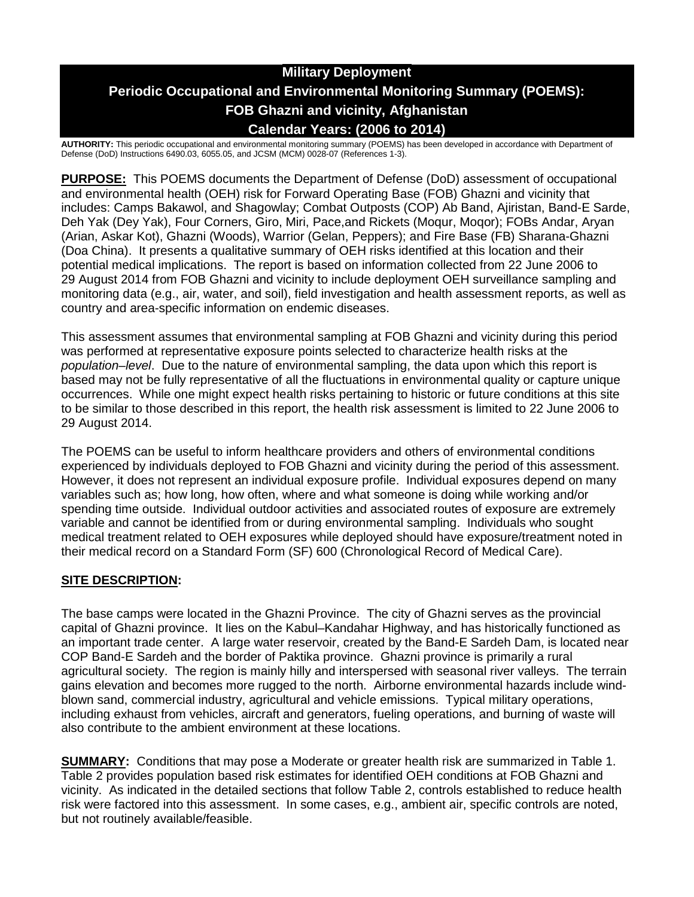# **Military Deployment Periodic Occupational and Environmental Monitoring Summary (POEMS): FOB Ghazni and vicinity, Afghanistan Calendar Years: (2006 to 2014)**

**AUTHORITY:** This periodic occupational and environmental monitoring summary (POEMS) has been developed in accordance with Department of Defense (DoD) Instructions 6490.03, 6055.05, and JCSM (MCM) 0028-07 (References 1-3).

**PURPOSE:** This POEMS documents the Department of Defense (DoD) assessment of occupational and environmental health (OEH) risk for Forward Operating Base (FOB) Ghazni and vicinity that includes: Camps Bakawol, and Shagowlay; Combat Outposts (COP) Ab Band, Ajiristan, Band-E Sarde, Deh Yak (Dey Yak), Four Corners, Giro, Miri, Pace,and Rickets (Moqur, Moqor); FOBs Andar, Aryan (Arian, Askar Kot), Ghazni (Woods), Warrior (Gelan, Peppers); and Fire Base (FB) Sharana-Ghazni (Doa China). It presents a qualitative summary of OEH risks identified at this location and their potential medical implications. The report is based on information collected from 22 June 2006 to 29 August 2014 from FOB Ghazni and vicinity to include deployment OEH surveillance sampling and monitoring data (e.g., air, water, and soil), field investigation and health assessment reports, as well as country and area-specific information on endemic diseases.

This assessment assumes that environmental sampling at FOB Ghazni and vicinity during this period was performed at representative exposure points selected to characterize health risks at the *population–level*. Due to the nature of environmental sampling, the data upon which this report is based may not be fully representative of all the fluctuations in environmental quality or capture unique occurrences. While one might expect health risks pertaining to historic or future conditions at this site to be similar to those described in this report, the health risk assessment is limited to 22 June 2006 to 29 August 2014.

The POEMS can be useful to inform healthcare providers and others of environmental conditions experienced by individuals deployed to FOB Ghazni and vicinity during the period of this assessment. However, it does not represent an individual exposure profile. Individual exposures depend on many variables such as; how long, how often, where and what someone is doing while working and/or spending time outside. Individual outdoor activities and associated routes of exposure are extremely variable and cannot be identified from or during environmental sampling. Individuals who sought medical treatment related to OEH exposures while deployed should have exposure/treatment noted in their medical record on a Standard Form (SF) 600 (Chronological Record of Medical Care).

## **SITE DESCRIPTION:**

The base camps were located in the Ghazni Province. The city of Ghazni serves as the provincial capital of Ghazni province. It lies on the Kabul–Kandahar Highway, and has historically functioned as an important trade center. A large water reservoir, created by the Band-E Sardeh Dam, is located near COP Band-E Sardeh and the border of Paktika province. Ghazni province is primarily a rural agricultural society. The region is mainly hilly and interspersed with seasonal river valleys. The terrain gains elevation and becomes more rugged to the north. Airborne environmental hazards include windblown sand, commercial industry, agricultural and vehicle emissions. Typical military operations, including exhaust from vehicles, aircraft and generators, fueling operations, and burning of waste will also contribute to the ambient environment at these locations.

**SUMMARY:** Conditions that may pose a Moderate or greater health risk are summarized in Table 1. Table 2 provides population based risk estimates for identified OEH conditions at FOB Ghazni and vicinity. As indicated in the detailed sections that follow Table 2, controls established to reduce health risk were factored into this assessment. In some cases, e.g., ambient air, specific controls are noted, but not routinely available/feasible.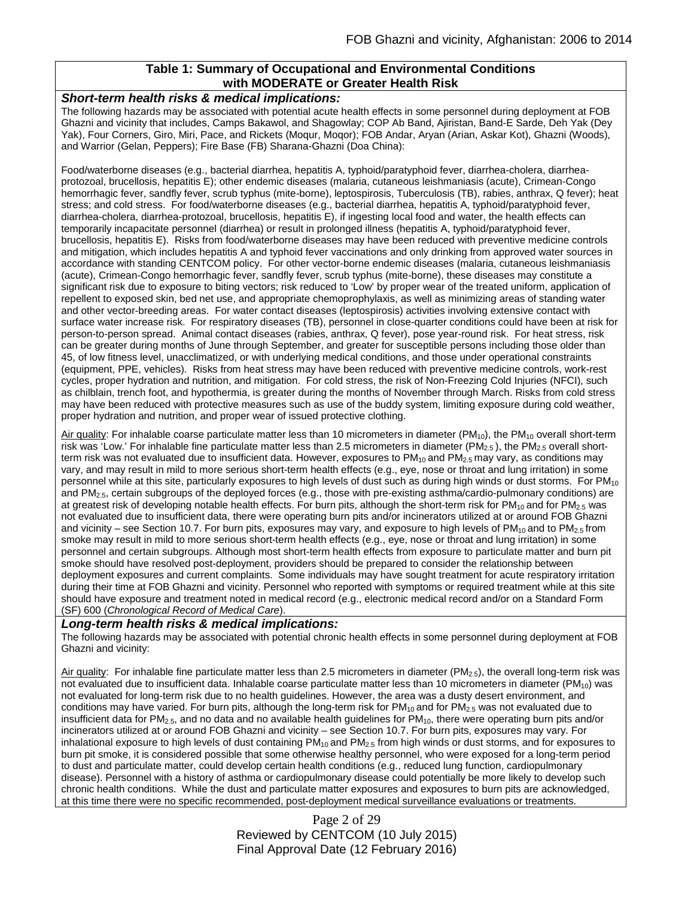## **Table 1: Summary of Occupational and Environmental Conditions with MODERATE or Greater Health Risk**

#### *Short-term health risks & medical implications:*

The following hazards may be associated with potential acute health effects in some personnel during deployment at FOB Ghazni and vicinity that includes, Camps Bakawol, and Shagowlay; COP Ab Band, Ajiristan, Band-E Sarde, Deh Yak (Dey Yak), Four Corners, Giro, Miri, Pace, and Rickets (Moqur, Moqor); FOB Andar, Aryan (Arian, Askar Kot), Ghazni (Woods), and Warrior (Gelan, Peppers); Fire Base (FB) Sharana-Ghazni (Doa China):

Food/waterborne diseases (e.g., bacterial diarrhea, hepatitis A, typhoid/paratyphoid fever, diarrhea-cholera, diarrheaprotozoal, brucellosis, hepatitis E); other endemic diseases (malaria, cutaneous leishmaniasis (acute), Crimean-Congo hemorrhagic fever, sandfly fever, scrub typhus (mite-borne), leptospirosis, Tuberculosis (TB), rabies, anthrax, Q fever); heat stress; and cold stress. For food/waterborne diseases (e.g., bacterial diarrhea, hepatitis A, typhoid/paratyphoid fever, diarrhea-cholera, diarrhea-protozoal, brucellosis, hepatitis E), if ingesting local food and water, the health effects can temporarily incapacitate personnel (diarrhea) or result in prolonged illness (hepatitis A, typhoid/paratyphoid fever, brucellosis, hepatitis E). Risks from food/waterborne diseases may have been reduced with preventive medicine controls and mitigation, which includes hepatitis A and typhoid fever vaccinations and only drinking from approved water sources in accordance with standing CENTCOM policy. For other vector-borne endemic diseases (malaria, cutaneous leishmaniasis (acute), Crimean-Congo hemorrhagic fever, sandfly fever, scrub typhus (mite-borne), these diseases may constitute a significant risk due to exposure to biting vectors; risk reduced to 'Low' by proper wear of the treated uniform, application of repellent to exposed skin, bed net use, and appropriate chemoprophylaxis, as well as minimizing areas of standing water and other vector-breeding areas. For water contact diseases (leptospirosis) activities involving extensive contact with surface water increase risk. For respiratory diseases (TB), personnel in close-quarter conditions could have been at risk for person-to-person spread. Animal contact diseases (rabies, anthrax, Q fever), pose year-round risk. For heat stress, risk can be greater during months of June through September, and greater for susceptible persons including those older than 45, of low fitness level, unacclimatized, or with underlying medical conditions, and those under operational constraints (equipment, PPE, vehicles). Risks from heat stress may have been reduced with preventive medicine controls, work-rest cycles, proper hydration and nutrition, and mitigation. For cold stress, the risk of Non-Freezing Cold Injuries (NFCI), such as chilblain, trench foot, and hypothermia, is greater during the months of November through March. Risks from cold stress may have been reduced with protective measures such as use of the buddy system, limiting exposure during cold weather, proper hydration and nutrition, and proper wear of issued protective clothing.

Air quality: For inhalable coarse particulate matter less than 10 micrometers in diameter (PM<sub>10</sub>), the PM<sub>10</sub> overall short-term risk was 'Low.' For inhalable fine particulate matter less than 2.5 micrometers in diameter ( $PM_{2.5}$ ), the  $PM_{2.5}$  overall shortterm risk was not evaluated due to insufficient data. However, exposures to  $PM_{10}$  and  $PM_{2.5}$  may vary, as conditions may vary, and may result in mild to more serious short-term health effects (e.g., eye, nose or throat and lung irritation) in some personnel while at this site, particularly exposures to high levels of dust such as during high winds or dust storms. For PM<sub>10</sub> and  $PM_{2.5}$ , certain subgroups of the deployed forces (e.g., those with pre-existing asthma/cardio-pulmonary conditions) are at greatest risk of developing notable health effects. For burn pits, although the short-term risk for  $PM_{10}$  and for  $PM_{2.5}$  was not evaluated due to insufficient data, there were operating burn pits and/or incinerators utilized at or around FOB Ghazni and vicinity – see Section 10.7. For burn pits, exposures may vary, and exposure to high levels of  $PM_{10}$  and to  $PM_{2.5}$  from smoke may result in mild to more serious short-term health effects (e.g., eye, nose or throat and lung irritation) in some personnel and certain subgroups. Although most short-term health effects from exposure to particulate matter and burn pit smoke should have resolved post-deployment, providers should be prepared to consider the relationship between deployment exposures and current complaints. Some individuals may have sought treatment for acute respiratory irritation during their time at FOB Ghazni and vicinity. Personnel who reported with symptoms or required treatment while at this site should have exposure and treatment noted in medical record (e.g., electronic medical record and/or on a Standard Form (SF) 600 (*Chronological Record of Medical Care*).

#### *Long-term health risks & medical implications:*

The following hazards may be associated with potential chronic health effects in some personnel during deployment at FOB Ghazni and vicinity:

Air quality: For inhalable fine particulate matter less than 2.5 micrometers in diameter (PM<sub>2.5</sub>), the overall long-term risk was not evaluated due to insufficient data. Inhalable coarse particulate matter less than 10 micrometers in diameter (PM<sub>10</sub>) was not evaluated for long-term risk due to no health guidelines. However, the area was a dusty desert environment, and conditions may have varied. For burn pits, although the long-term risk for PM<sub>10</sub> and for PM<sub>2.5</sub> was not evaluated due to insufficient data for PM<sub>2.5</sub>, and no data and no available health guidelines for PM<sub>10</sub>, there were operating burn pits and/or incinerators utilized at or around FOB Ghazni and vicinity – see Section 10.7. For burn pits, exposures may vary. For inhalational exposure to high levels of dust containing  $PM_{10}$  and  $PM_{2.5}$  from high winds or dust storms, and for exposures to burn pit smoke, it is considered possible that some otherwise healthy personnel, who were exposed for a long-term period to dust and particulate matter, could develop certain health conditions (e.g., reduced lung function, cardiopulmonary disease). Personnel with a history of asthma or cardiopulmonary disease could potentially be more likely to develop such chronic health conditions. While the dust and particulate matter exposures and exposures to burn pits are acknowledged, at this time there were no specific recommended, post-deployment medical surveillance evaluations or treatments.

> Page 2 of 29 Reviewed by CENTCOM (10 July 2015) Final Approval Date (12 February 2016)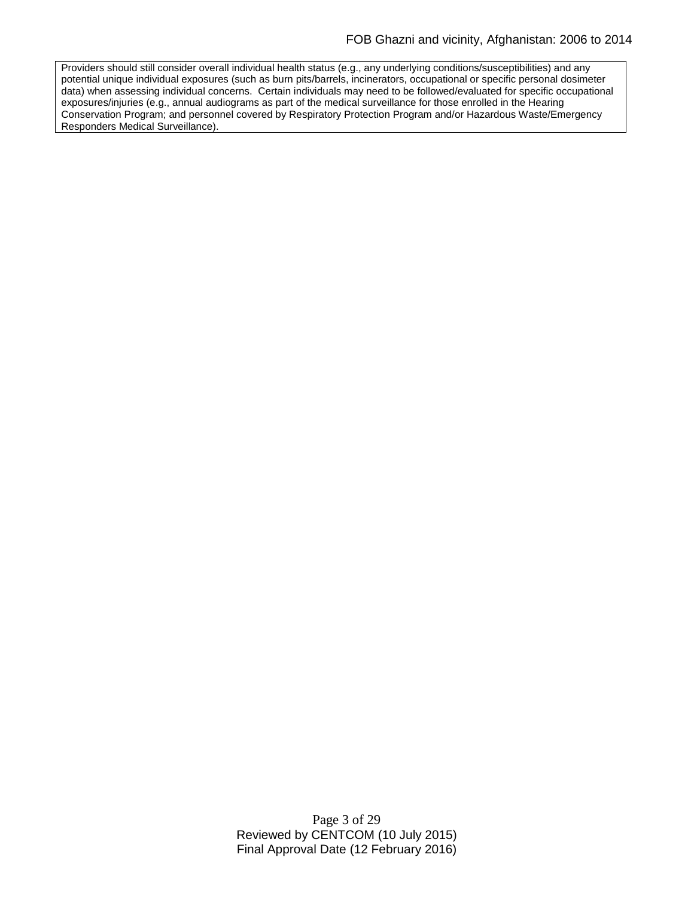Providers should still consider overall individual health status (e.g., any underlying conditions/susceptibilities) and any potential unique individual exposures (such as burn pits/barrels, incinerators, occupational or specific personal dosimeter data) when assessing individual concerns. Certain individuals may need to be followed/evaluated for specific occupational exposures/injuries (e.g., annual audiograms as part of the medical surveillance for those enrolled in the Hearing Conservation Program; and personnel covered by Respiratory Protection Program and/or Hazardous Waste/Emergency Responders Medical Surveillance).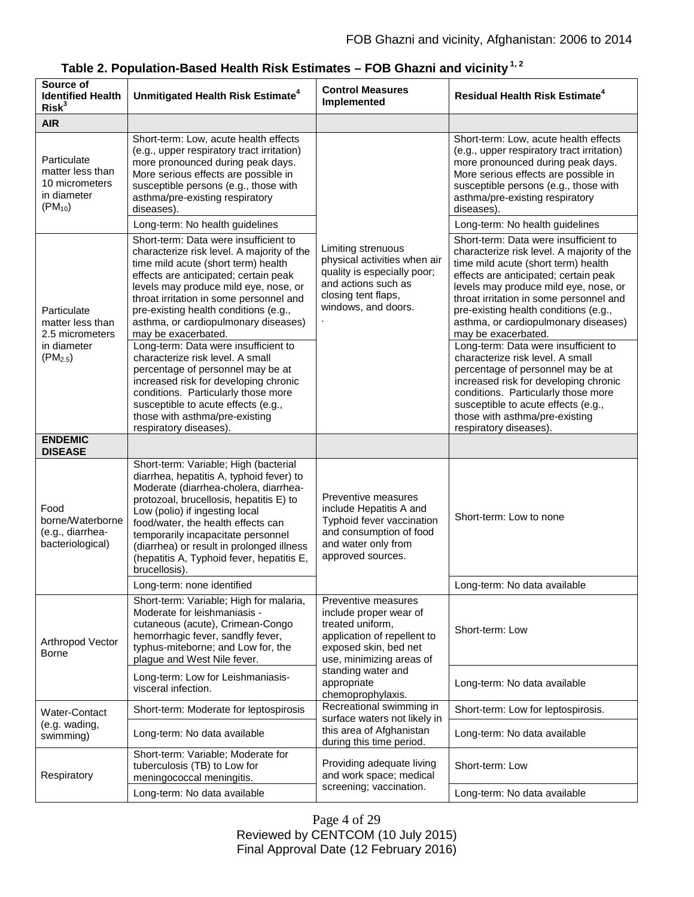| Source of<br><b>Identified Health</b><br>Risk <sup>3</sup>                        | Unmitigated Health Risk Estimate <sup>4</sup>                                                                                                                                                                                                                                                                                                                                                  | <b>Control Measures</b><br>Implemented                                                                                                                                                                          | <b>Residual Health Risk Estimate<sup>4</sup></b>                                                                                                                                                                                                                                                                                                                |
|-----------------------------------------------------------------------------------|------------------------------------------------------------------------------------------------------------------------------------------------------------------------------------------------------------------------------------------------------------------------------------------------------------------------------------------------------------------------------------------------|-----------------------------------------------------------------------------------------------------------------------------------------------------------------------------------------------------------------|-----------------------------------------------------------------------------------------------------------------------------------------------------------------------------------------------------------------------------------------------------------------------------------------------------------------------------------------------------------------|
| <b>AIR</b>                                                                        |                                                                                                                                                                                                                                                                                                                                                                                                |                                                                                                                                                                                                                 |                                                                                                                                                                                                                                                                                                                                                                 |
| Particulate<br>matter less than<br>10 micrometers<br>in diameter<br>$(PM_{10})$   | Short-term: Low, acute health effects<br>(e.g., upper respiratory tract irritation)<br>more pronounced during peak days.<br>More serious effects are possible in<br>susceptible persons (e.g., those with<br>asthma/pre-existing respiratory<br>diseases).                                                                                                                                     | Limiting strenuous<br>physical activities when air<br>quality is especially poor;<br>and actions such as<br>closing tent flaps,<br>windows, and doors.                                                          | Short-term: Low, acute health effects<br>(e.g., upper respiratory tract irritation)<br>more pronounced during peak days.<br>More serious effects are possible in<br>susceptible persons (e.g., those with<br>asthma/pre-existing respiratory<br>diseases).                                                                                                      |
|                                                                                   | Long-term: No health guidelines                                                                                                                                                                                                                                                                                                                                                                |                                                                                                                                                                                                                 | Long-term: No health guidelines                                                                                                                                                                                                                                                                                                                                 |
| Particulate<br>matter less than<br>2.5 micrometers<br>in diameter<br>$(PM_{2.5})$ | Short-term: Data were insufficient to<br>characterize risk level. A majority of the<br>time mild acute (short term) health<br>effects are anticipated; certain peak<br>levels may produce mild eye, nose, or<br>throat irritation in some personnel and<br>pre-existing health conditions (e.g.,<br>asthma, or cardiopulmonary diseases)<br>may be exacerbated.                                |                                                                                                                                                                                                                 | Short-term: Data were insufficient to<br>characterize risk level. A majority of the<br>time mild acute (short term) health<br>effects are anticipated; certain peak<br>levels may produce mild eye, nose, or<br>throat irritation in some personnel and<br>pre-existing health conditions (e.g.,<br>asthma, or cardiopulmonary diseases)<br>may be exacerbated. |
|                                                                                   | Long-term: Data were insufficient to<br>characterize risk level. A small<br>percentage of personnel may be at<br>increased risk for developing chronic<br>conditions. Particularly those more<br>susceptible to acute effects (e.g.,<br>those with asthma/pre-existing<br>respiratory diseases).                                                                                               |                                                                                                                                                                                                                 | Long-term: Data were insufficient to<br>characterize risk level. A small<br>percentage of personnel may be at<br>increased risk for developing chronic<br>conditions. Particularly those more<br>susceptible to acute effects (e.g.,<br>those with asthma/pre-existing<br>respiratory diseases).                                                                |
| <b>ENDEMIC</b><br><b>DISEASE</b>                                                  |                                                                                                                                                                                                                                                                                                                                                                                                |                                                                                                                                                                                                                 |                                                                                                                                                                                                                                                                                                                                                                 |
| Food<br>borne/Waterborne<br>(e.g., diarrhea-<br>bacteriological)                  | Short-term: Variable; High (bacterial<br>diarrhea, hepatitis A, typhoid fever) to<br>Moderate (diarrhea-cholera, diarrhea-<br>protozoal, brucellosis, hepatitis E) to<br>Low (polio) if ingesting local<br>food/water, the health effects can<br>temporarily incapacitate personnel<br>(diarrhea) or result in prolonged illness<br>(hepatitis A, Typhoid fever, hepatitis E,<br>brucellosis). | Preventive measures<br>include Hepatitis A and<br>Typhoid fever vaccination<br>and consumption of food<br>and water only from<br>approved sources.                                                              | Short-term: Low to none                                                                                                                                                                                                                                                                                                                                         |
|                                                                                   | Long-term: none identified                                                                                                                                                                                                                                                                                                                                                                     |                                                                                                                                                                                                                 | Long-term: No data available                                                                                                                                                                                                                                                                                                                                    |
| Arthropod Vector<br><b>Borne</b>                                                  | Short-term: Variable; High for malaria,<br>Moderate for leishmaniasis -<br>cutaneous (acute), Crimean-Congo<br>hemorrhagic fever, sandfly fever,<br>typhus-miteborne; and Low for, the<br>plague and West Nile fever.                                                                                                                                                                          | Preventive measures<br>include proper wear of<br>treated uniform,<br>application of repellent to<br>exposed skin, bed net<br>use, minimizing areas of<br>standing water and<br>appropriate<br>chemoprophylaxis. | Short-term: Low                                                                                                                                                                                                                                                                                                                                                 |
|                                                                                   | Long-term: Low for Leishmaniasis-<br>visceral infection.                                                                                                                                                                                                                                                                                                                                       |                                                                                                                                                                                                                 | Long-term: No data available                                                                                                                                                                                                                                                                                                                                    |
| Water-Contact<br>(e.g. wading,<br>swimming)                                       | Short-term: Moderate for leptospirosis                                                                                                                                                                                                                                                                                                                                                         | Recreational swimming in<br>surface waters not likely in<br>this area of Afghanistan<br>during this time period.                                                                                                | Short-term: Low for leptospirosis.                                                                                                                                                                                                                                                                                                                              |
|                                                                                   | Long-term: No data available                                                                                                                                                                                                                                                                                                                                                                   |                                                                                                                                                                                                                 | Long-term: No data available                                                                                                                                                                                                                                                                                                                                    |
| Respiratory                                                                       | Short-term: Variable; Moderate for<br>tuberculosis (TB) to Low for<br>meningococcal meningitis.                                                                                                                                                                                                                                                                                                | Providing adequate living<br>and work space; medical<br>screening; vaccination.                                                                                                                                 | Short-term: Low                                                                                                                                                                                                                                                                                                                                                 |
|                                                                                   | Long-term: No data available                                                                                                                                                                                                                                                                                                                                                                   |                                                                                                                                                                                                                 | Long-term: No data available                                                                                                                                                                                                                                                                                                                                    |

|  |  | Table 2. Population-Based Health Risk Estimates – FOB Ghazni and vicinity $^{1,\,2}$ |
|--|--|--------------------------------------------------------------------------------------|
|--|--|--------------------------------------------------------------------------------------|

Page 4 of 29 Reviewed by CENTCOM (10 July 2015) Final Approval Date (12 February 2016)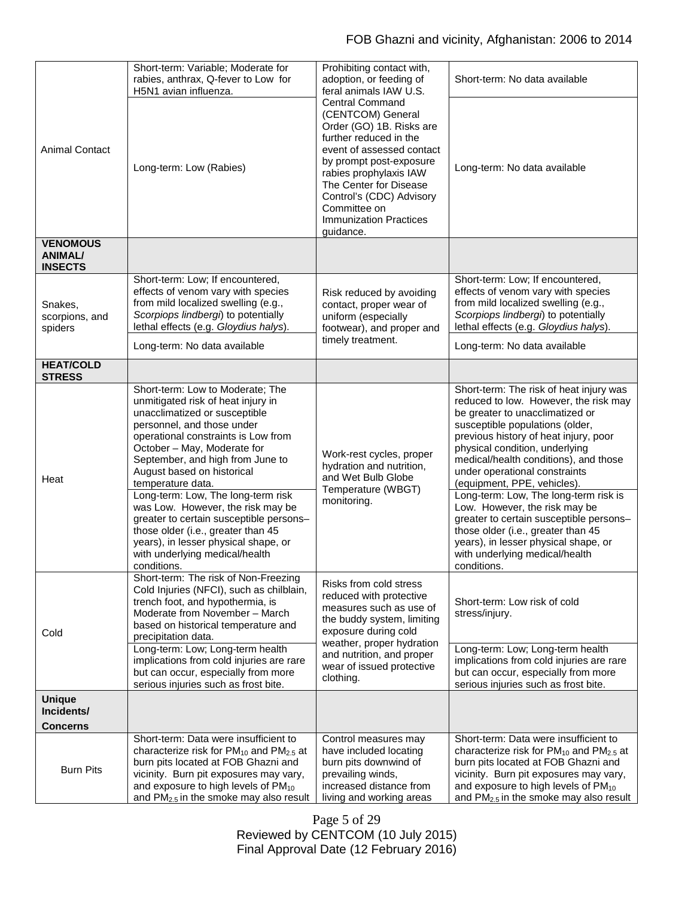|                                                     | Short-term: Variable; Moderate for<br>rabies, anthrax, Q-fever to Low for<br>H5N1 avian influenza.                                                                                                                                                                                                                                                                                                                                                                                                                                                      | Prohibiting contact with,<br>adoption, or feeding of<br>feral animals IAW U.S.                                                                                                                                                                                                                          | Short-term: No data available                                                                                                                                                                                                                                                                                                                                                                                                                                                                                                                                                                 |
|-----------------------------------------------------|---------------------------------------------------------------------------------------------------------------------------------------------------------------------------------------------------------------------------------------------------------------------------------------------------------------------------------------------------------------------------------------------------------------------------------------------------------------------------------------------------------------------------------------------------------|---------------------------------------------------------------------------------------------------------------------------------------------------------------------------------------------------------------------------------------------------------------------------------------------------------|-----------------------------------------------------------------------------------------------------------------------------------------------------------------------------------------------------------------------------------------------------------------------------------------------------------------------------------------------------------------------------------------------------------------------------------------------------------------------------------------------------------------------------------------------------------------------------------------------|
| <b>Animal Contact</b>                               | Long-term: Low (Rabies)                                                                                                                                                                                                                                                                                                                                                                                                                                                                                                                                 | <b>Central Command</b><br>(CENTCOM) General<br>Order (GO) 1B. Risks are<br>further reduced in the<br>event of assessed contact<br>by prompt post-exposure<br>rabies prophylaxis IAW<br>The Center for Disease<br>Control's (CDC) Advisory<br>Committee on<br><b>Immunization Practices</b><br>guidance. | Long-term: No data available                                                                                                                                                                                                                                                                                                                                                                                                                                                                                                                                                                  |
| <b>VENOMOUS</b><br><b>ANIMAL/</b><br><b>INSECTS</b> |                                                                                                                                                                                                                                                                                                                                                                                                                                                                                                                                                         |                                                                                                                                                                                                                                                                                                         |                                                                                                                                                                                                                                                                                                                                                                                                                                                                                                                                                                                               |
| Snakes,<br>scorpions, and<br>spiders                | Short-term: Low; If encountered,<br>effects of venom vary with species<br>from mild localized swelling (e.g.,<br>Scorpiops lindbergi) to potentially<br>lethal effects (e.g. Gloydius halys).                                                                                                                                                                                                                                                                                                                                                           | Risk reduced by avoiding<br>contact, proper wear of<br>uniform (especially<br>footwear), and proper and                                                                                                                                                                                                 | Short-term: Low; If encountered,<br>effects of venom vary with species<br>from mild localized swelling (e.g.,<br>Scorpiops lindbergi) to potentially<br>lethal effects (e.g. Gloydius halys).                                                                                                                                                                                                                                                                                                                                                                                                 |
|                                                     | Long-term: No data available                                                                                                                                                                                                                                                                                                                                                                                                                                                                                                                            | timely treatment.                                                                                                                                                                                                                                                                                       | Long-term: No data available                                                                                                                                                                                                                                                                                                                                                                                                                                                                                                                                                                  |
| <b>HEAT/COLD</b><br><b>STRESS</b>                   |                                                                                                                                                                                                                                                                                                                                                                                                                                                                                                                                                         |                                                                                                                                                                                                                                                                                                         |                                                                                                                                                                                                                                                                                                                                                                                                                                                                                                                                                                                               |
| Heat                                                | Short-term: Low to Moderate; The<br>unmitigated risk of heat injury in<br>unacclimatized or susceptible<br>personnel, and those under<br>operational constraints is Low from<br>October - May, Moderate for<br>September, and high from June to<br>August based on historical<br>temperature data.<br>Long-term: Low, The long-term risk<br>was Low. However, the risk may be<br>greater to certain susceptible persons-<br>those older (i.e., greater than 45<br>years), in lesser physical shape, or<br>with underlying medical/health<br>conditions. | Work-rest cycles, proper<br>hydration and nutrition,<br>and Wet Bulb Globe<br>Temperature (WBGT)<br>monitoring.                                                                                                                                                                                         | Short-term: The risk of heat injury was<br>reduced to low. However, the risk may<br>be greater to unacclimatized or<br>susceptible populations (older,<br>previous history of heat injury, poor<br>physical condition, underlying<br>medical/health conditions), and those<br>under operational constraints<br>(equipment, PPE, vehicles)<br>Long-term: Low, The long-term risk is<br>Low. However, the risk may be<br>greater to certain susceptible persons-<br>those older (i.e., greater than 45<br>years), in lesser physical shape, or<br>with underlying medical/health<br>conditions. |
| Cold                                                | Short-term: The risk of Non-Freezing<br>Cold Injuries (NFCI), such as chilblain,<br>trench foot, and hypothermia, is<br>Moderate from November - March<br>based on historical temperature and<br>precipitation data.<br>Long-term: Low; Long-term health<br>implications from cold injuries are rare<br>but can occur, especially from more<br>serious injuries such as frost bite.                                                                                                                                                                     | Risks from cold stress<br>reduced with protective<br>measures such as use of<br>the buddy system, limiting<br>exposure during cold<br>weather, proper hydration<br>and nutrition, and proper<br>wear of issued protective<br>clothing.                                                                  | Short-term: Low risk of cold<br>stress/injury.<br>Long-term: Low; Long-term health<br>implications from cold injuries are rare<br>but can occur, especially from more<br>serious injuries such as frost bite.                                                                                                                                                                                                                                                                                                                                                                                 |
| <b>Unique</b><br>Incidents/                         |                                                                                                                                                                                                                                                                                                                                                                                                                                                                                                                                                         |                                                                                                                                                                                                                                                                                                         |                                                                                                                                                                                                                                                                                                                                                                                                                                                                                                                                                                                               |
| <b>Concerns</b>                                     | Short-term: Data were insufficient to                                                                                                                                                                                                                                                                                                                                                                                                                                                                                                                   | Control measures may                                                                                                                                                                                                                                                                                    | Short-term: Data were insufficient to                                                                                                                                                                                                                                                                                                                                                                                                                                                                                                                                                         |
| <b>Burn Pits</b>                                    | characterize risk for $PM_{10}$ and $PM_{2.5}$ at<br>burn pits located at FOB Ghazni and<br>vicinity. Burn pit exposures may vary,<br>and exposure to high levels of PM <sub>10</sub><br>and PM <sub>2.5</sub> in the smoke may also result                                                                                                                                                                                                                                                                                                             | have included locating<br>burn pits downwind of<br>prevailing winds,<br>increased distance from<br>living and working areas                                                                                                                                                                             | characterize risk for $PM_{10}$ and $PM_{2.5}$ at<br>burn pits located at FOB Ghazni and<br>vicinity. Burn pit exposures may vary,<br>and exposure to high levels of PM <sub>10</sub><br>and PM <sub>2.5</sub> in the smoke may also result                                                                                                                                                                                                                                                                                                                                                   |

Page 5 of 29 Reviewed by CENTCOM (10 July 2015) Final Approval Date (12 February 2016)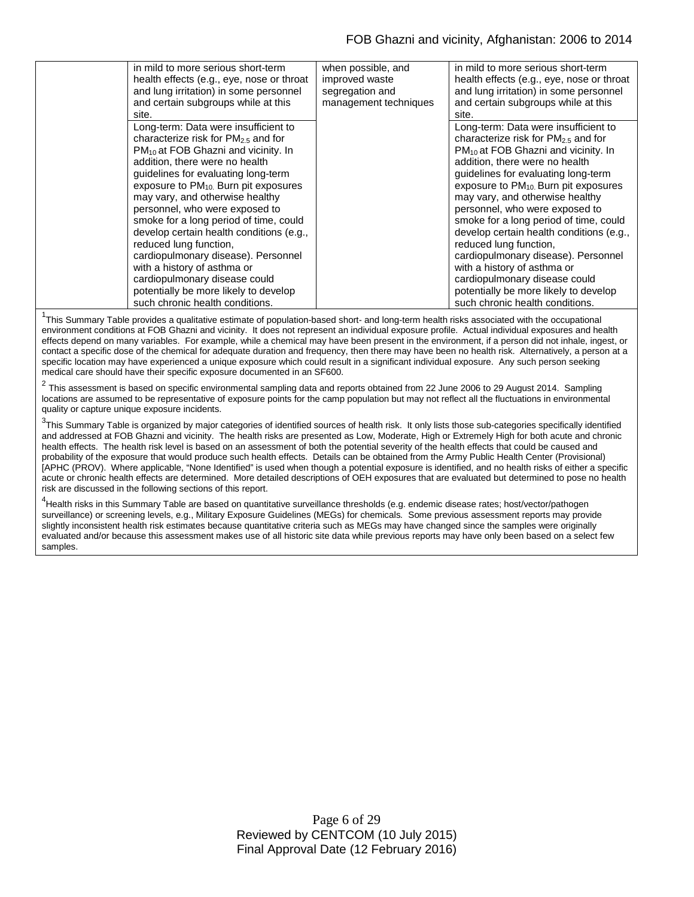| in mild to more serious short-term<br>health effects (e.g., eye, nose or throat<br>and lung irritation) in some personnel<br>and certain subgroups while at this<br>site.                                                                                                                                                                                                                                                                                                                                                                                                                                                | when possible, and<br>improved waste<br>segregation and<br>management techniques | in mild to more serious short-term<br>health effects (e.g., eye, nose or throat<br>and lung irritation) in some personnel<br>and certain subgroups while at this<br>site.                                                                                                                                                                                                                                                                                                                                                                                                                                                       |
|--------------------------------------------------------------------------------------------------------------------------------------------------------------------------------------------------------------------------------------------------------------------------------------------------------------------------------------------------------------------------------------------------------------------------------------------------------------------------------------------------------------------------------------------------------------------------------------------------------------------------|----------------------------------------------------------------------------------|---------------------------------------------------------------------------------------------------------------------------------------------------------------------------------------------------------------------------------------------------------------------------------------------------------------------------------------------------------------------------------------------------------------------------------------------------------------------------------------------------------------------------------------------------------------------------------------------------------------------------------|
| Long-term: Data were insufficient to<br>characterize risk for $PM2.5$ and for<br>$PM_{10}$ at FOB Ghazni and vicinity. In<br>addition, there were no health<br>guidelines for evaluating long-term<br>exposure to $PM_{10}$ . Burn pit exposures<br>may vary, and otherwise healthy<br>personnel, who were exposed to<br>smoke for a long period of time, could<br>develop certain health conditions (e.g.,<br>reduced lung function,<br>cardiopulmonary disease). Personnel<br>with a history of asthma or<br>cardiopulmonary disease could<br>potentially be more likely to develop<br>such chronic health conditions. |                                                                                  | Long-term: Data were insufficient to<br>characterize risk for $PM2.5$ and for<br>$PM_{10}$ at FOB Ghazni and vicinity. In<br>addition, there were no health<br>guidelines for evaluating long-term<br>exposure to PM <sub>10</sub> . Burn pit exposures<br>may vary, and otherwise healthy<br>personnel, who were exposed to<br>smoke for a long period of time, could<br>develop certain health conditions (e.g.,<br>reduced lung function,<br>cardiopulmonary disease). Personnel<br>with a history of asthma or<br>cardiopulmonary disease could<br>potentially be more likely to develop<br>such chronic health conditions. |
|                                                                                                                                                                                                                                                                                                                                                                                                                                                                                                                                                                                                                          |                                                                                  |                                                                                                                                                                                                                                                                                                                                                                                                                                                                                                                                                                                                                                 |

<sup>1</sup>This Summary Table provides a qualitative estimate of population-based short- and long-term health risks associated with the occupational environment conditions at FOB Ghazni and vicinity. It does not represent an individual exposure profile. Actual individual exposures and health effects depend on many variables. For example, while a chemical may have been present in the environment, if a person did not inhale, ingest, or contact a specific dose of the chemical for adequate duration and frequency, then there may have been no health risk. Alternatively, a person at a specific location may have experienced a unique exposure which could result in a significant individual exposure. Any such person seeking medical care should have their specific exposure documented in an SF600.

 $^2$  This assessment is based on specific environmental sampling data and reports obtained from 22 June 2006 to 29 August 2014. Sampling locations are assumed to be representative of exposure points for the camp population but may not reflect all the fluctuations in environmental quality or capture unique exposure incidents.

 $^3$ This Summary Table is organized by major categories of identified sources of health risk. It only lists those sub-categories specifically identified and addressed at FOB Ghazni and vicinity. The health risks are presented as Low, Moderate, High or Extremely High for both acute and chronic health effects. The health risk level is based on an assessment of both the potential severity of the health effects that could be caused and probability of the exposure that would produce such health effects. Details can be obtained from the Army Public Health Center (Provisional) [APHC (PROV). Where applicable, "None Identified" is used when though a potential exposure is identified, and no health risks of either a specific acute or chronic health effects are determined. More detailed descriptions of OEH exposures that are evaluated but determined to pose no health risk are discussed in the following sections of this report.

<sup>4</sup>Health risks in this Summary Table are based on quantitative surveillance thresholds (e.g. endemic disease rates; host/vector/pathogen surveillance) or screening levels, e.g., Military Exposure Guidelines (MEGs) for chemicals*.* Some previous assessment reports may provide slightly inconsistent health risk estimates because quantitative criteria such as MEGs may have changed since the samples were originally evaluated and/or because this assessment makes use of all historic site data while previous reports may have only been based on a select few samples.

> Page 6 of 29 Reviewed by CENTCOM (10 July 2015) Final Approval Date (12 February 2016)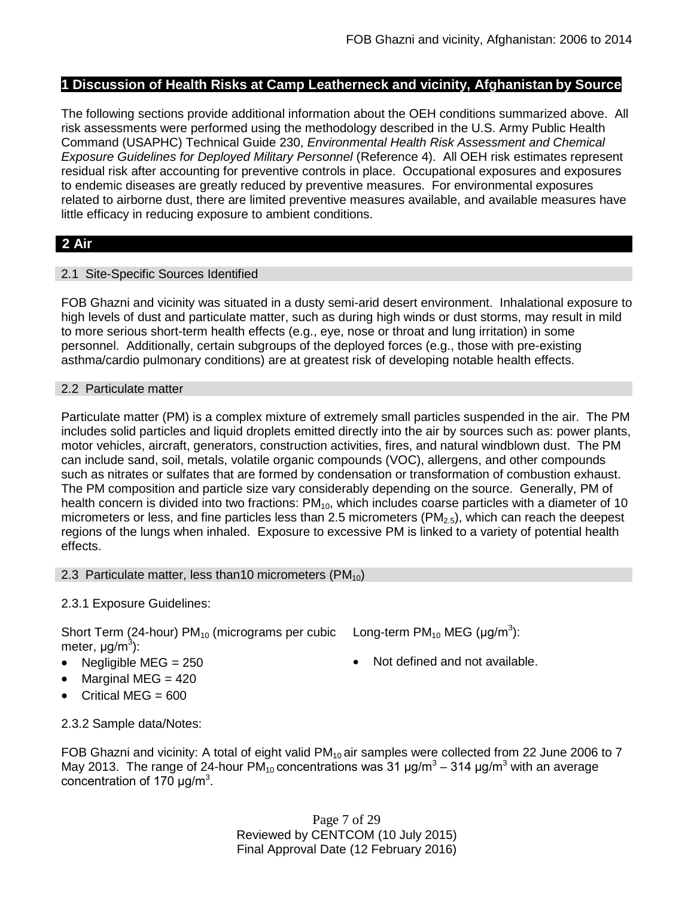## **1 Discussion of Health Risks at Camp Leatherneck and vicinity, Afghanistan by Source**

The following sections provide additional information about the OEH conditions summarized above. All risk assessments were performed using the methodology described in the U.S. Army Public Health Command (USAPHC) Technical Guide 230, *Environmental Health Risk Assessment and Chemical Exposure Guidelines for Deployed Military Personnel* (Reference 4). All OEH risk estimates represent residual risk after accounting for preventive controls in place. Occupational exposures and exposures to endemic diseases are greatly reduced by preventive measures. For environmental exposures related to airborne dust, there are limited preventive measures available, and available measures have little efficacy in reducing exposure to ambient conditions.

# **2 Air**

## 2.1 Site-Specific Sources Identified

FOB Ghazni and vicinity was situated in a dusty semi-arid desert environment. Inhalational exposure to high levels of dust and particulate matter, such as during high winds or dust storms, may result in mild to more serious short-term health effects (e.g., eye, nose or throat and lung irritation) in some personnel. Additionally, certain subgroups of the deployed forces (e.g., those with pre-existing asthma/cardio pulmonary conditions) are at greatest risk of developing notable health effects.

## 2.2 Particulate matter

Particulate matter (PM) is a complex mixture of extremely small particles suspended in the air. The PM includes solid particles and liquid droplets emitted directly into the air by sources such as: power plants, motor vehicles, aircraft, generators, construction activities, fires, and natural windblown dust. The PM can include sand, soil, metals, volatile organic compounds (VOC), allergens, and other compounds such as nitrates or sulfates that are formed by condensation or transformation of combustion exhaust. The PM composition and particle size vary considerably depending on the source. Generally, PM of health concern is divided into two fractions: PM<sub>10</sub>, which includes coarse particles with a diameter of 10 micrometers or less, and fine particles less than 2.5 micrometers ( $PM<sub>2.5</sub>$ ), which can reach the deepest regions of the lungs when inhaled. Exposure to excessive PM is linked to a variety of potential health effects.

### 2.3 Particulate matter, less than 10 micrometers ( $PM_{10}$ )

## 2.3.1 Exposure Guidelines:

Short Term (24-hour)  $PM_{10}$  (micrograms per cubic meter, μg/m<sup>3</sup>):

- 
- Marginal MEG = 420
- Critical MEG = 600

Long-term PM<sub>10</sub> MEG (µg/m<sup>3</sup>):

- Negligible MEG = 250 Not defined and not available.
- 2.3.2 Sample data/Notes:

FOB Ghazni and vicinity: A total of eight valid  $PM_{10}$  air samples were collected from 22 June 2006 to 7 May 2013. The range of 24-hour PM<sub>10</sub> concentrations was 31  $\mu$ g/m<sup>3</sup> – 314  $\mu$ g/m<sup>3</sup> with an average concentration of 170  $\mu$ g/m<sup>3</sup>.

> Page 7 of 29 Reviewed by CENTCOM (10 July 2015) Final Approval Date (12 February 2016)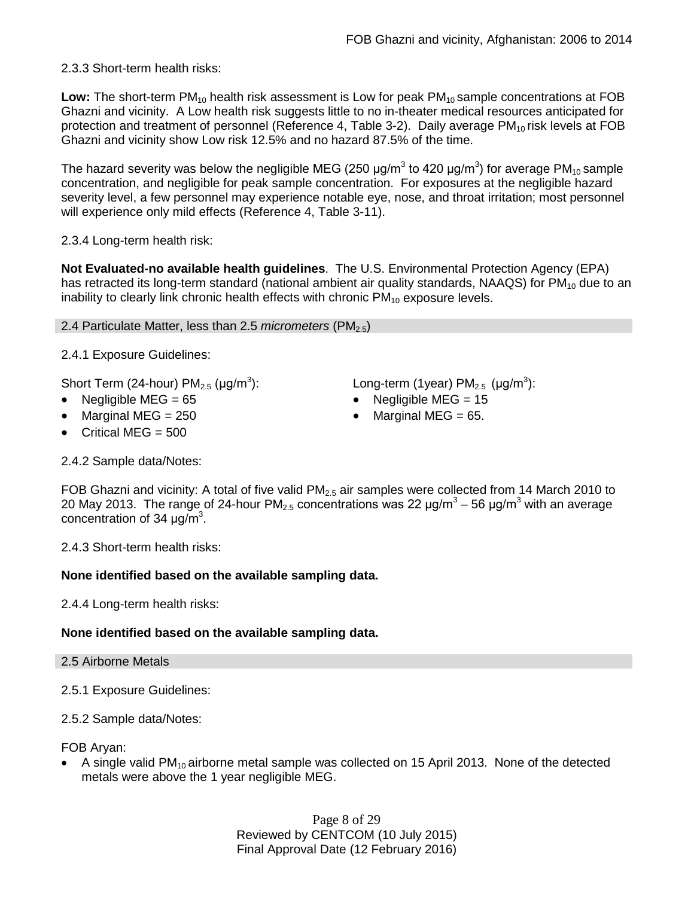2.3.3 Short-term health risks:

Low: The short-term PM<sub>10</sub> health risk assessment is Low for peak PM<sub>10</sub> sample concentrations at FOB Ghazni and vicinity. A Low health risk suggests little to no in-theater medical resources anticipated for protection and treatment of personnel (Reference 4, Table 3-2). Daily average PM<sub>10</sub> risk levels at FOB Ghazni and vicinity show Low risk 12.5% and no hazard 87.5% of the time.

The hazard severity was below the negligible MEG (250 µg/m $^3$  to 420 µg/m $^3$ ) for average PM $_{\rm 10}$ sample concentration, and negligible for peak sample concentration. For exposures at the negligible hazard severity level, a few personnel may experience notable eye, nose, and throat irritation; most personnel will experience only mild effects (Reference 4, Table 3-11).

2.3.4 Long-term health risk:

**Not Evaluated-no available health guidelines**. The U.S. Environmental Protection Agency (EPA) has retracted its long-term standard (national ambient air quality standards, NAAQS) for  $PM_{10}$  due to an inability to clearly link chronic health effects with chronic  $PM_{10}$  exposure levels.

### 2.4 Particulate Matter, less than 2.5 *micrometers* (PM<sub>2.5</sub>)

2.4.1 Exposure Guidelines:

Short Term (24-hour)  $PM_{2.5}$  ( $\mu$ g/m<sup>3</sup>):

- 
- 
- Critical MEG  $= 500$

): Long-term (1year) PM<sub>2.5</sub> (µg/m<sup>3</sup>):

- Negligible MEG = 65 Negligible MEG = 15
- Marginal MEG = 250 Marginal MEG = 65.

2.4.2 Sample data/Notes:

FOB Ghazni and vicinity: A total of five valid  $PM_{2.5}$  air samples were collected from 14 March 2010 to 20 May 2013. The range of 24-hour PM<sub>2.5</sub> concentrations was 22  $\mu$ g/m<sup>3</sup> – 56  $\mu$ g/m<sup>3</sup> with an average concentration of 34  $\mu$ g/m<sup>3</sup>.

2.4.3 Short-term health risks:

## **None identified based on the available sampling data.**

2.4.4 Long-term health risks:

## **None identified based on the available sampling data.**

- 2.5 Airborne Metals
- 2.5.1 Exposure Guidelines:
- 2.5.2 Sample data/Notes:

FOB Aryan:

A single valid  $PM_{10}$  airborne metal sample was collected on 15 April 2013. None of the detected metals were above the 1 year negligible MEG.

> Page 8 of 29 Reviewed by CENTCOM (10 July 2015) Final Approval Date (12 February 2016)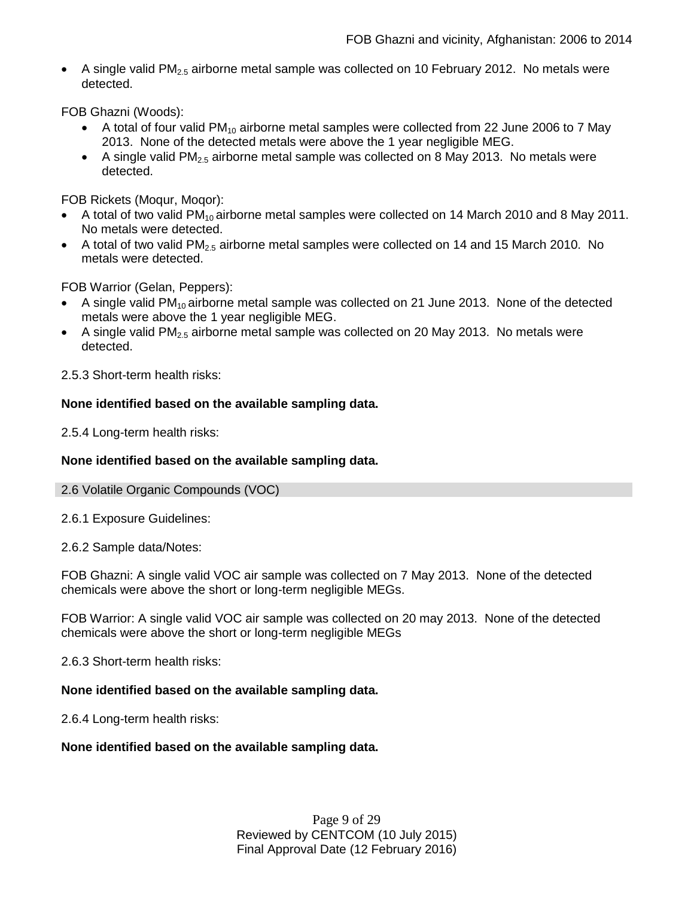A single valid  $PM<sub>2.5</sub>$  airborne metal sample was collected on 10 February 2012. No metals were detected.

FOB Ghazni (Woods):

- A total of four valid  $PM_{10}$  airborne metal samples were collected from 22 June 2006 to 7 May 2013. None of the detected metals were above the 1 year negligible MEG.
- A single valid  $PM<sub>2.5</sub>$  airborne metal sample was collected on 8 May 2013. No metals were detected.

FOB Rickets (Moqur, Moqor):

- A total of two valid  $PM_{10}$  airborne metal samples were collected on 14 March 2010 and 8 May 2011. No metals were detected.
- A total of two valid PM<sub>2.5</sub> airborne metal samples were collected on 14 and 15 March 2010. No metals were detected.

FOB Warrior (Gelan, Peppers):

- A single valid  $PM_{10}$  airborne metal sample was collected on 21 June 2013. None of the detected metals were above the 1 year negligible MEG.
- A single valid PM<sub>2.5</sub> airborne metal sample was collected on 20 May 2013. No metals were detected.

2.5.3 Short-term health risks:

## **None identified based on the available sampling data.**

2.5.4 Long-term health risks:

## **None identified based on the available sampling data.**

### 2.6 Volatile Organic Compounds (VOC)

2.6.1 Exposure Guidelines:

2.6.2 Sample data/Notes:

FOB Ghazni: A single valid VOC air sample was collected on 7 May 2013. None of the detected chemicals were above the short or long-term negligible MEGs.

FOB Warrior: A single valid VOC air sample was collected on 20 may 2013. None of the detected chemicals were above the short or long-term negligible MEGs

2.6.3 Short-term health risks:

## **None identified based on the available sampling data.**

2.6.4 Long-term health risks:

## **None identified based on the available sampling data.**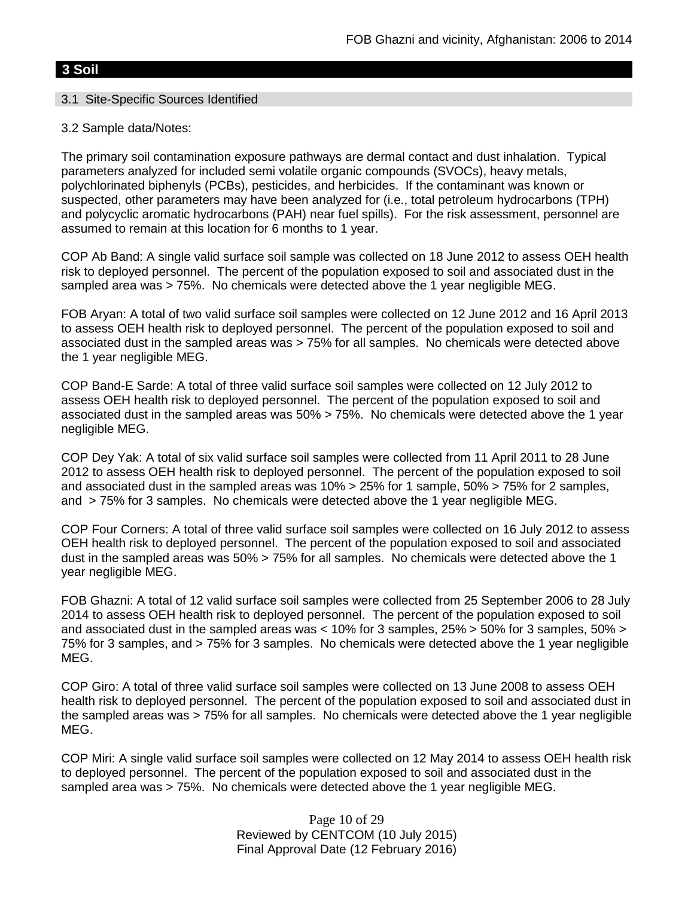# **3 Soil**

## 3.1 Site-Specific Sources Identified

## 3.2 Sample data/Notes:

The primary soil contamination exposure pathways are dermal contact and dust inhalation. Typical parameters analyzed for included semi volatile organic compounds (SVOCs), heavy metals, polychlorinated biphenyls (PCBs), pesticides, and herbicides. If the contaminant was known or suspected, other parameters may have been analyzed for (i.e., total petroleum hydrocarbons (TPH) and polycyclic aromatic hydrocarbons (PAH) near fuel spills). For the risk assessment, personnel are assumed to remain at this location for 6 months to 1 year.

COP Ab Band: A single valid surface soil sample was collected on 18 June 2012 to assess OEH health risk to deployed personnel. The percent of the population exposed to soil and associated dust in the sampled area was > 75%. No chemicals were detected above the 1 year negligible MEG.

FOB Aryan: A total of two valid surface soil samples were collected on 12 June 2012 and 16 April 2013 to assess OEH health risk to deployed personnel. The percent of the population exposed to soil and associated dust in the sampled areas was > 75% for all samples. No chemicals were detected above the 1 year negligible MEG.

COP Band-E Sarde: A total of three valid surface soil samples were collected on 12 July 2012 to assess OEH health risk to deployed personnel. The percent of the population exposed to soil and associated dust in the sampled areas was 50% > 75%. No chemicals were detected above the 1 year negligible MEG.

COP Dey Yak: A total of six valid surface soil samples were collected from 11 April 2011 to 28 June 2012 to assess OEH health risk to deployed personnel. The percent of the population exposed to soil and associated dust in the sampled areas was 10% > 25% for 1 sample, 50% > 75% for 2 samples, and > 75% for 3 samples. No chemicals were detected above the 1 year negligible MEG.

COP Four Corners: A total of three valid surface soil samples were collected on 16 July 2012 to assess OEH health risk to deployed personnel. The percent of the population exposed to soil and associated dust in the sampled areas was 50% > 75% for all samples. No chemicals were detected above the 1 year negligible MEG.

FOB Ghazni: A total of 12 valid surface soil samples were collected from 25 September 2006 to 28 July 2014 to assess OEH health risk to deployed personnel. The percent of the population exposed to soil and associated dust in the sampled areas was < 10% for 3 samples, 25% > 50% for 3 samples, 50% > 75% for 3 samples, and > 75% for 3 samples. No chemicals were detected above the 1 year negligible MEG.

COP Giro: A total of three valid surface soil samples were collected on 13 June 2008 to assess OEH health risk to deployed personnel. The percent of the population exposed to soil and associated dust in the sampled areas was > 75% for all samples. No chemicals were detected above the 1 year negligible MEG.

COP Miri: A single valid surface soil samples were collected on 12 May 2014 to assess OEH health risk to deployed personnel. The percent of the population exposed to soil and associated dust in the sampled area was > 75%. No chemicals were detected above the 1 year negligible MEG.

> Page 10 of 29 Reviewed by CENTCOM (10 July 2015) Final Approval Date (12 February 2016)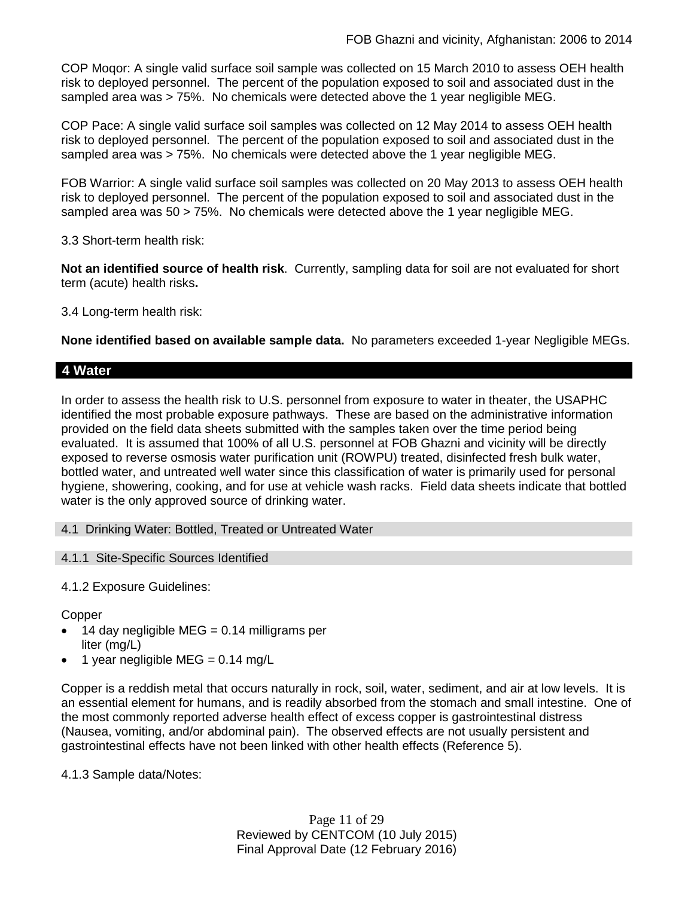COP Moqor: A single valid surface soil sample was collected on 15 March 2010 to assess OEH health risk to deployed personnel. The percent of the population exposed to soil and associated dust in the sampled area was > 75%. No chemicals were detected above the 1 year negligible MEG.

COP Pace: A single valid surface soil samples was collected on 12 May 2014 to assess OEH health risk to deployed personnel. The percent of the population exposed to soil and associated dust in the sampled area was > 75%. No chemicals were detected above the 1 year negligible MEG.

FOB Warrior: A single valid surface soil samples was collected on 20 May 2013 to assess OEH health risk to deployed personnel. The percent of the population exposed to soil and associated dust in the sampled area was 50 > 75%. No chemicals were detected above the 1 year negligible MEG.

3.3 Short-term health risk:

**Not an identified source of health risk**. Currently, sampling data for soil are not evaluated for short term (acute) health risks**.**

3.4 Long-term health risk:

**None identified based on available sample data.** No parameters exceeded 1-year Negligible MEGs.

# **4 Water**

In order to assess the health risk to U.S. personnel from exposure to water in theater, the USAPHC identified the most probable exposure pathways. These are based on the administrative information provided on the field data sheets submitted with the samples taken over the time period being evaluated. It is assumed that 100% of all U.S. personnel at FOB Ghazni and vicinity will be directly exposed to reverse osmosis water purification unit (ROWPU) treated, disinfected fresh bulk water, bottled water, and untreated well water since this classification of water is primarily used for personal hygiene, showering, cooking, and for use at vehicle wash racks. Field data sheets indicate that bottled water is the only approved source of drinking water.

4.1 Drinking Water: Bottled, Treated or Untreated Water

4.1.1 Site-Specific Sources Identified

4.1.2 Exposure Guidelines:

**Copper** 

- 14 day negligible MEG =  $0.14$  milligrams per liter (mg/L)
- 1 year negligible MEG =  $0.14 \text{ mg/L}$

Copper is a reddish metal that occurs naturally in rock, soil, water, sediment, and air at low levels. It is an essential element for humans, and is readily absorbed from the stomach and small intestine. One of the most commonly reported adverse health effect of excess copper is gastrointestinal distress (Nausea, vomiting, and/or abdominal pain). The observed effects are not usually persistent and gastrointestinal effects have not been linked with other health effects (Reference 5).

4.1.3 Sample data/Notes:

Page 11 of 29 Reviewed by CENTCOM (10 July 2015) Final Approval Date (12 February 2016)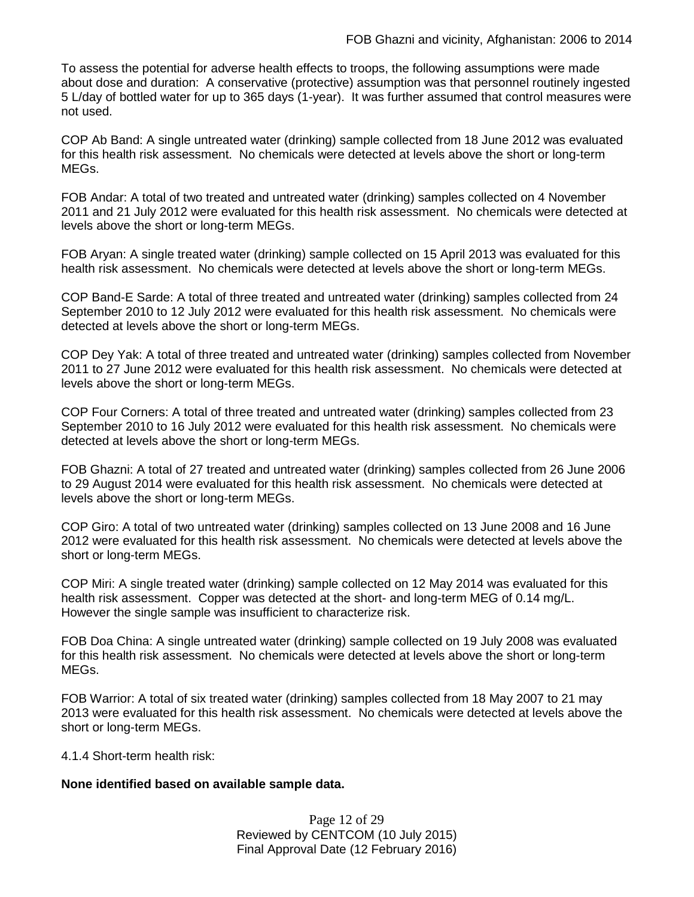To assess the potential for adverse health effects to troops, the following assumptions were made about dose and duration: A conservative (protective) assumption was that personnel routinely ingested 5 L/day of bottled water for up to 365 days (1-year). It was further assumed that control measures were not used.

COP Ab Band: A single untreated water (drinking) sample collected from 18 June 2012 was evaluated for this health risk assessment. No chemicals were detected at levels above the short or long-term MEGs.

FOB Andar: A total of two treated and untreated water (drinking) samples collected on 4 November 2011 and 21 July 2012 were evaluated for this health risk assessment. No chemicals were detected at levels above the short or long-term MEGs.

FOB Aryan: A single treated water (drinking) sample collected on 15 April 2013 was evaluated for this health risk assessment. No chemicals were detected at levels above the short or long-term MEGs.

COP Band-E Sarde: A total of three treated and untreated water (drinking) samples collected from 24 September 2010 to 12 July 2012 were evaluated for this health risk assessment. No chemicals were detected at levels above the short or long-term MEGs.

COP Dey Yak: A total of three treated and untreated water (drinking) samples collected from November 2011 to 27 June 2012 were evaluated for this health risk assessment. No chemicals were detected at levels above the short or long-term MEGs.

COP Four Corners: A total of three treated and untreated water (drinking) samples collected from 23 September 2010 to 16 July 2012 were evaluated for this health risk assessment. No chemicals were detected at levels above the short or long-term MEGs.

FOB Ghazni: A total of 27 treated and untreated water (drinking) samples collected from 26 June 2006 to 29 August 2014 were evaluated for this health risk assessment. No chemicals were detected at levels above the short or long-term MEGs.

COP Giro: A total of two untreated water (drinking) samples collected on 13 June 2008 and 16 June 2012 were evaluated for this health risk assessment. No chemicals were detected at levels above the short or long-term MEGs.

COP Miri: A single treated water (drinking) sample collected on 12 May 2014 was evaluated for this health risk assessment. Copper was detected at the short- and long-term MEG of 0.14 mg/L. However the single sample was insufficient to characterize risk.

FOB Doa China: A single untreated water (drinking) sample collected on 19 July 2008 was evaluated for this health risk assessment. No chemicals were detected at levels above the short or long-term MEGs.

FOB Warrior: A total of six treated water (drinking) samples collected from 18 May 2007 to 21 may 2013 were evaluated for this health risk assessment. No chemicals were detected at levels above the short or long-term MEGs.

4.1.4 Short-term health risk:

### **None identified based on available sample data.**

Page 12 of 29 Reviewed by CENTCOM (10 July 2015) Final Approval Date (12 February 2016)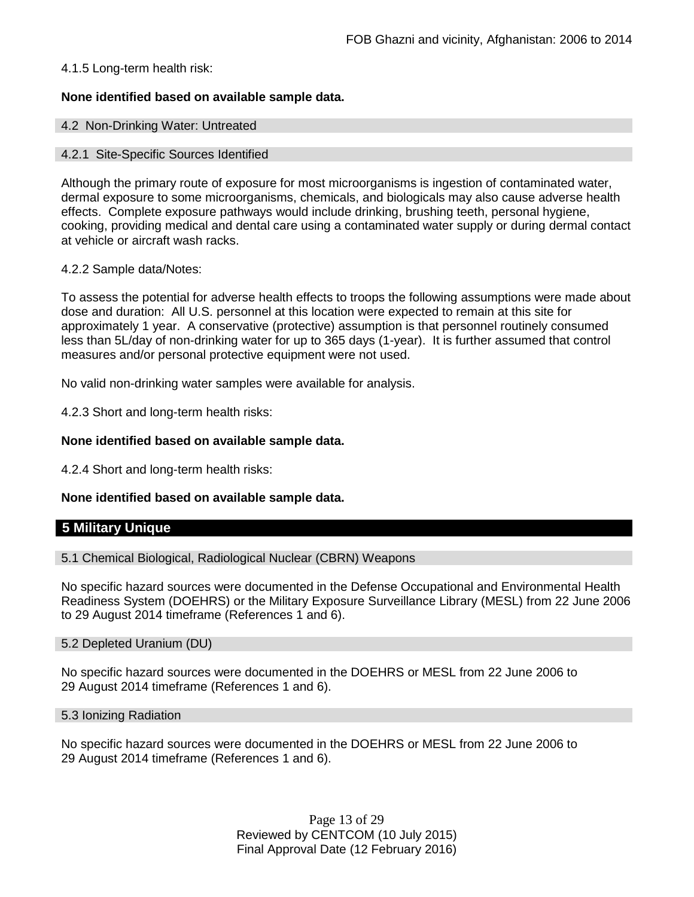## 4.1.5 Long-term health risk:

## **None identified based on available sample data.**

### 4.2 Non-Drinking Water: Untreated

### 4.2.1 Site-Specific Sources Identified

Although the primary route of exposure for most microorganisms is ingestion of contaminated water, dermal exposure to some microorganisms, chemicals, and biologicals may also cause adverse health effects. Complete exposure pathways would include drinking, brushing teeth, personal hygiene, cooking, providing medical and dental care using a contaminated water supply or during dermal contact at vehicle or aircraft wash racks.

### 4.2.2 Sample data/Notes:

To assess the potential for adverse health effects to troops the following assumptions were made about dose and duration: All U.S. personnel at this location were expected to remain at this site for approximately 1 year. A conservative (protective) assumption is that personnel routinely consumed less than 5L/day of non-drinking water for up to 365 days (1-year). It is further assumed that control measures and/or personal protective equipment were not used.

No valid non-drinking water samples were available for analysis.

4.2.3 Short and long-term health risks:

## **None identified based on available sample data.**

4.2.4 Short and long-term health risks:

## **None identified based on available sample data.**

## **5 Military Unique**

5.1 Chemical Biological, Radiological Nuclear (CBRN) Weapons

No specific hazard sources were documented in the Defense Occupational and Environmental Health Readiness System (DOEHRS) or the Military Exposure Surveillance Library (MESL) from 22 June 2006 to 29 August 2014 timeframe (References 1 and 6).

### 5.2 Depleted Uranium (DU)

No specific hazard sources were documented in the DOEHRS or MESL from 22 June 2006 to 29 August 2014 timeframe (References 1 and 6).

### 5.3 Ionizing Radiation

No specific hazard sources were documented in the DOEHRS or MESL from 22 June 2006 to 29 August 2014 timeframe (References 1 and 6).

> Page 13 of 29 Reviewed by CENTCOM (10 July 2015) Final Approval Date (12 February 2016)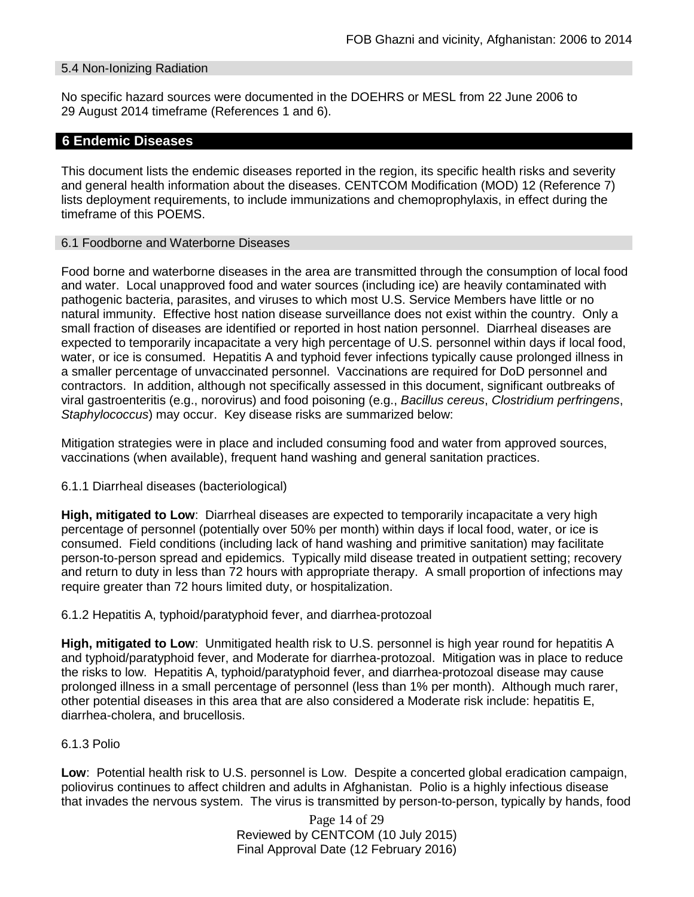### 5.4 Non-Ionizing Radiation

No specific hazard sources were documented in the DOEHRS or MESL from 22 June 2006 to 29 August 2014 timeframe (References 1 and 6).

## **6 Endemic Diseases**

This document lists the endemic diseases reported in the region, its specific health risks and severity and general health information about the diseases. CENTCOM Modification (MOD) 12 (Reference 7) lists deployment requirements, to include immunizations and chemoprophylaxis, in effect during the timeframe of this POEMS.

#### 6.1 Foodborne and Waterborne Diseases

Food borne and waterborne diseases in the area are transmitted through the consumption of local food and water. Local unapproved food and water sources (including ice) are heavily contaminated with pathogenic bacteria, parasites, and viruses to which most U.S. Service Members have little or no natural immunity. Effective host nation disease surveillance does not exist within the country. Only a small fraction of diseases are identified or reported in host nation personnel. Diarrheal diseases are expected to temporarily incapacitate a very high percentage of U.S. personnel within days if local food, water, or ice is consumed. Hepatitis A and typhoid fever infections typically cause prolonged illness in a smaller percentage of unvaccinated personnel. Vaccinations are required for DoD personnel and contractors. In addition, although not specifically assessed in this document, significant outbreaks of viral gastroenteritis (e.g., norovirus) and food poisoning (e.g., *Bacillus cereus*, *Clostridium perfringens*, *Staphylococcus*) may occur. Key disease risks are summarized below:

Mitigation strategies were in place and included consuming food and water from approved sources, vaccinations (when available), frequent hand washing and general sanitation practices.

### 6.1.1 Diarrheal diseases (bacteriological)

**High, mitigated to Low**: Diarrheal diseases are expected to temporarily incapacitate a very high percentage of personnel (potentially over 50% per month) within days if local food, water, or ice is consumed. Field conditions (including lack of hand washing and primitive sanitation) may facilitate person-to-person spread and epidemics. Typically mild disease treated in outpatient setting; recovery and return to duty in less than 72 hours with appropriate therapy. A small proportion of infections may require greater than 72 hours limited duty, or hospitalization.

### 6.1.2 Hepatitis A, typhoid/paratyphoid fever, and diarrhea-protozoal

**High, mitigated to Low**: Unmitigated health risk to U.S. personnel is high year round for hepatitis A and typhoid/paratyphoid fever, and Moderate for diarrhea-protozoal. Mitigation was in place to reduce the risks to low. Hepatitis A, typhoid/paratyphoid fever, and diarrhea-protozoal disease may cause prolonged illness in a small percentage of personnel (less than 1% per month). Although much rarer, other potential diseases in this area that are also considered a Moderate risk include: hepatitis E, diarrhea-cholera, and brucellosis.

### 6.1.3 Polio

**Low**: Potential health risk to U.S. personnel is Low. Despite a concerted global eradication campaign, poliovirus continues to affect children and adults in Afghanistan. Polio is a highly infectious disease that invades the nervous system. The virus is transmitted by person-to-person, typically by hands, food

> Page 14 of 29 Reviewed by CENTCOM (10 July 2015) Final Approval Date (12 February 2016)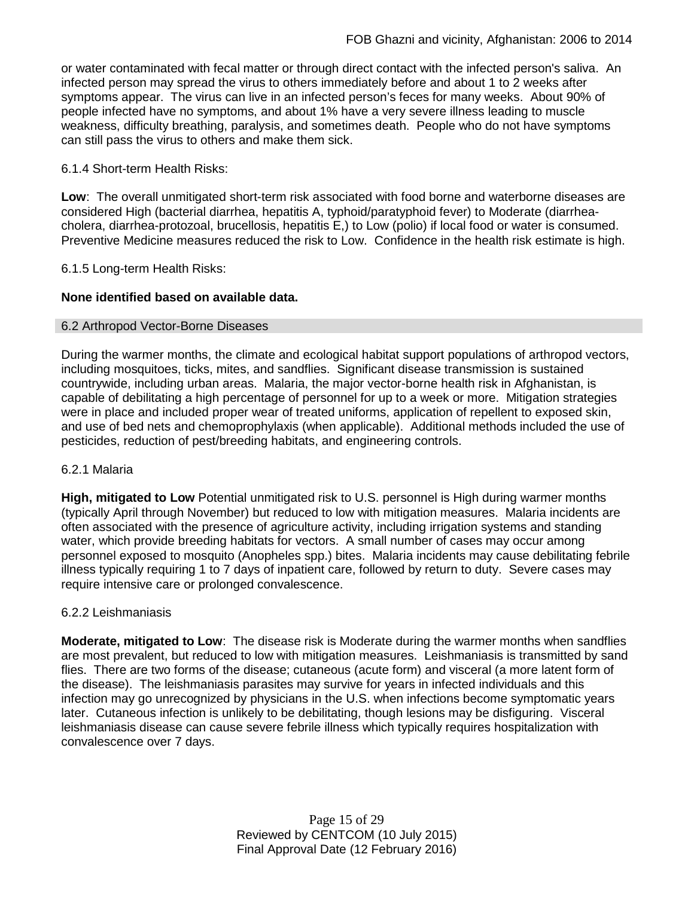or water contaminated with fecal matter or through direct contact with the infected person's saliva. An infected person may spread the virus to others immediately before and about 1 to 2 weeks after symptoms appear. The virus can live in an infected person's feces for many weeks. About 90% of people infected have no symptoms, and about 1% have a very severe illness leading to muscle weakness, difficulty breathing, paralysis, and sometimes death. People who do not have symptoms can still pass the virus to others and make them sick.

## 6.1.4 Short-term Health Risks:

**Low**: The overall unmitigated short-term risk associated with food borne and waterborne diseases are considered High (bacterial diarrhea, hepatitis A, typhoid/paratyphoid fever) to Moderate (diarrheacholera, diarrhea-protozoal, brucellosis, hepatitis E,) to Low (polio) if local food or water is consumed. Preventive Medicine measures reduced the risk to Low. Confidence in the health risk estimate is high.

6.1.5 Long-term Health Risks:

## **None identified based on available data.**

## 6.2 Arthropod Vector-Borne Diseases

During the warmer months, the climate and ecological habitat support populations of arthropod vectors, including mosquitoes, ticks, mites, and sandflies. Significant disease transmission is sustained countrywide, including urban areas. Malaria, the major vector-borne health risk in Afghanistan, is capable of debilitating a high percentage of personnel for up to a week or more. Mitigation strategies were in place and included proper wear of treated uniforms, application of repellent to exposed skin, and use of bed nets and chemoprophylaxis (when applicable). Additional methods included the use of pesticides, reduction of pest/breeding habitats, and engineering controls.

### 6.2.1 Malaria

**High, mitigated to Low** Potential unmitigated risk to U.S. personnel is High during warmer months (typically April through November) but reduced to low with mitigation measures. Malaria incidents are often associated with the presence of agriculture activity, including irrigation systems and standing water, which provide breeding habitats for vectors. A small number of cases may occur among personnel exposed to mosquito (Anopheles spp.) bites. Malaria incidents may cause debilitating febrile illness typically requiring 1 to 7 days of inpatient care, followed by return to duty. Severe cases may require intensive care or prolonged convalescence.

### 6.2.2 Leishmaniasis

**Moderate, mitigated to Low**: The disease risk is Moderate during the warmer months when sandflies are most prevalent, but reduced to low with mitigation measures. Leishmaniasis is transmitted by sand flies. There are two forms of the disease; cutaneous (acute form) and visceral (a more latent form of the disease). The leishmaniasis parasites may survive for years in infected individuals and this infection may go unrecognized by physicians in the U.S. when infections become symptomatic years later. Cutaneous infection is unlikely to be debilitating, though lesions may be disfiguring. Visceral leishmaniasis disease can cause severe febrile illness which typically requires hospitalization with convalescence over 7 days.

> Page 15 of 29 Reviewed by CENTCOM (10 July 2015) Final Approval Date (12 February 2016)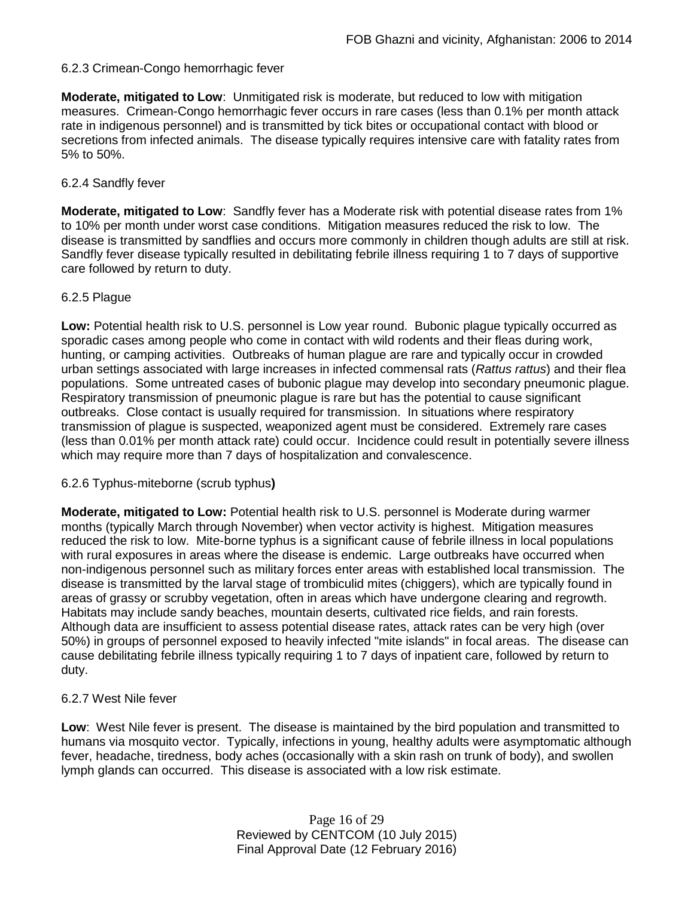## 6.2.3 Crimean-Congo hemorrhagic fever

**Moderate, mitigated to Low**: Unmitigated risk is moderate, but reduced to low with mitigation measures. Crimean-Congo hemorrhagic fever occurs in rare cases (less than 0.1% per month attack rate in indigenous personnel) and is transmitted by tick bites or occupational contact with blood or secretions from infected animals. The disease typically requires intensive care with fatality rates from 5% to 50%.

### 6.2.4 Sandfly fever

**Moderate, mitigated to Low**: Sandfly fever has a Moderate risk with potential disease rates from 1% to 10% per month under worst case conditions. Mitigation measures reduced the risk to low. The disease is transmitted by sandflies and occurs more commonly in children though adults are still at risk. Sandfly fever disease typically resulted in debilitating febrile illness requiring 1 to 7 days of supportive care followed by return to duty.

#### 6.2.5 Plague

**Low:** Potential health risk to U.S. personnel is Low year round. Bubonic plague typically occurred as sporadic cases among people who come in contact with wild rodents and their fleas during work, hunting, or camping activities. Outbreaks of human plague are rare and typically occur in crowded urban settings associated with large increases in infected commensal rats (*Rattus rattus*) and their flea populations. Some untreated cases of bubonic plague may develop into secondary pneumonic plague. Respiratory transmission of pneumonic plague is rare but has the potential to cause significant outbreaks. Close contact is usually required for transmission. In situations where respiratory transmission of plague is suspected, weaponized agent must be considered. Extremely rare cases (less than 0.01% per month attack rate) could occur. Incidence could result in potentially severe illness which may require more than 7 days of hospitalization and convalescence.

### 6.2.6 Typhus-miteborne (scrub typhus**)**

**Moderate, mitigated to Low:** Potential health risk to U.S. personnel is Moderate during warmer months (typically March through November) when vector activity is highest. Mitigation measures reduced the risk to low. Mite-borne typhus is a significant cause of febrile illness in local populations with rural exposures in areas where the disease is endemic. Large outbreaks have occurred when non-indigenous personnel such as military forces enter areas with established local transmission. The disease is transmitted by the larval stage of trombiculid mites (chiggers), which are typically found in areas of grassy or scrubby vegetation, often in areas which have undergone clearing and regrowth. Habitats may include sandy beaches, mountain deserts, cultivated rice fields, and rain forests. Although data are insufficient to assess potential disease rates, attack rates can be very high (over 50%) in groups of personnel exposed to heavily infected "mite islands" in focal areas. The disease can cause debilitating febrile illness typically requiring 1 to 7 days of inpatient care, followed by return to duty.

### 6.2.7 West Nile fever

**Low**: West Nile fever is present. The disease is maintained by the bird population and transmitted to humans via mosquito vector. Typically, infections in young, healthy adults were asymptomatic although fever, headache, tiredness, body aches (occasionally with a skin rash on trunk of body), and swollen lymph glands can occurred. This disease is associated with a low risk estimate.

> Page 16 of 29 Reviewed by CENTCOM (10 July 2015) Final Approval Date (12 February 2016)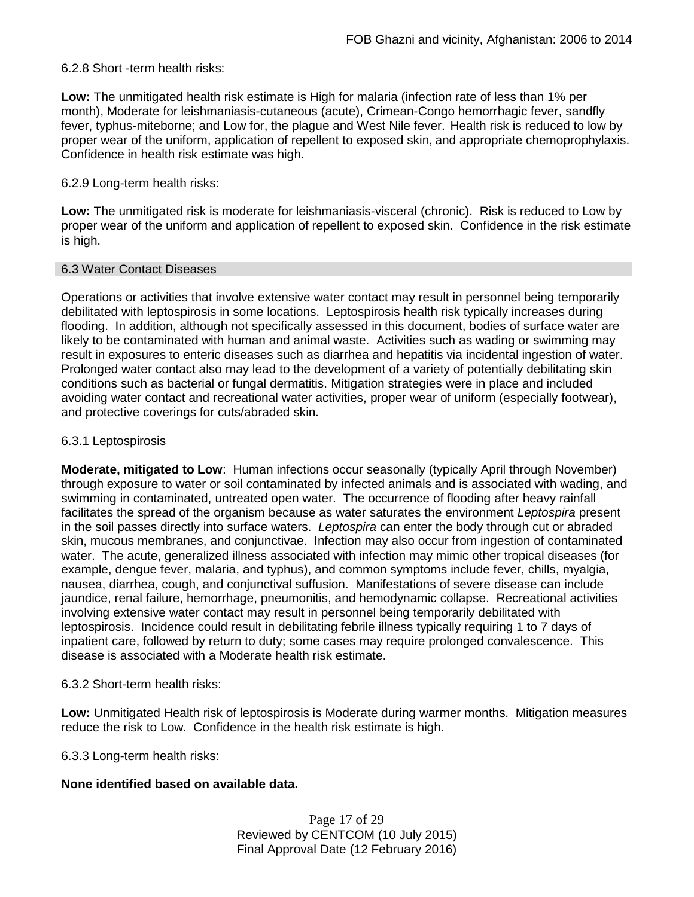## 6.2.8 Short -term health risks:

**Low:** The unmitigated health risk estimate is High for malaria (infection rate of less than 1% per month), Moderate for leishmaniasis-cutaneous (acute), Crimean-Congo hemorrhagic fever, sandfly fever, typhus-miteborne; and Low for, the plague and West Nile fever. Health risk is reduced to low by proper wear of the uniform, application of repellent to exposed skin, and appropriate chemoprophylaxis. Confidence in health risk estimate was high.

### 6.2.9 Long-term health risks:

**Low:** The unmitigated risk is moderate for leishmaniasis-visceral (chronic). Risk is reduced to Low by proper wear of the uniform and application of repellent to exposed skin. Confidence in the risk estimate is high.

### 6.3 Water Contact Diseases

Operations or activities that involve extensive water contact may result in personnel being temporarily debilitated with leptospirosis in some locations. Leptospirosis health risk typically increases during flooding. In addition, although not specifically assessed in this document, bodies of surface water are likely to be contaminated with human and animal waste. Activities such as wading or swimming may result in exposures to enteric diseases such as diarrhea and hepatitis via incidental ingestion of water. Prolonged water contact also may lead to the development of a variety of potentially debilitating skin conditions such as bacterial or fungal dermatitis. Mitigation strategies were in place and included avoiding water contact and recreational water activities, proper wear of uniform (especially footwear), and protective coverings for cuts/abraded skin.

## 6.3.1 Leptospirosis

**Moderate, mitigated to Low**: Human infections occur seasonally (typically April through November) through exposure to water or soil contaminated by infected animals and is associated with wading, and swimming in contaminated, untreated open water. The occurrence of flooding after heavy rainfall facilitates the spread of the organism because as water saturates the environment *Leptospira* present in the soil passes directly into surface waters. *Leptospira* can enter the body through cut or abraded skin, mucous membranes, and conjunctivae. Infection may also occur from ingestion of contaminated water. The acute, generalized illness associated with infection may mimic other tropical diseases (for example, dengue fever, malaria, and typhus), and common symptoms include fever, chills, myalgia, nausea, diarrhea, cough, and conjunctival suffusion. Manifestations of severe disease can include jaundice, renal failure, hemorrhage, pneumonitis, and hemodynamic collapse. Recreational activities involving extensive water contact may result in personnel being temporarily debilitated with leptospirosis. Incidence could result in debilitating febrile illness typically requiring 1 to 7 days of inpatient care, followed by return to duty; some cases may require prolonged convalescence. This disease is associated with a Moderate health risk estimate.

### 6.3.2 Short-term health risks:

**Low:** Unmitigated Health risk of leptospirosis is Moderate during warmer months. Mitigation measures reduce the risk to Low. Confidence in the health risk estimate is high.

6.3.3 Long-term health risks:

### **None identified based on available data.**

Page 17 of 29 Reviewed by CENTCOM (10 July 2015) Final Approval Date (12 February 2016)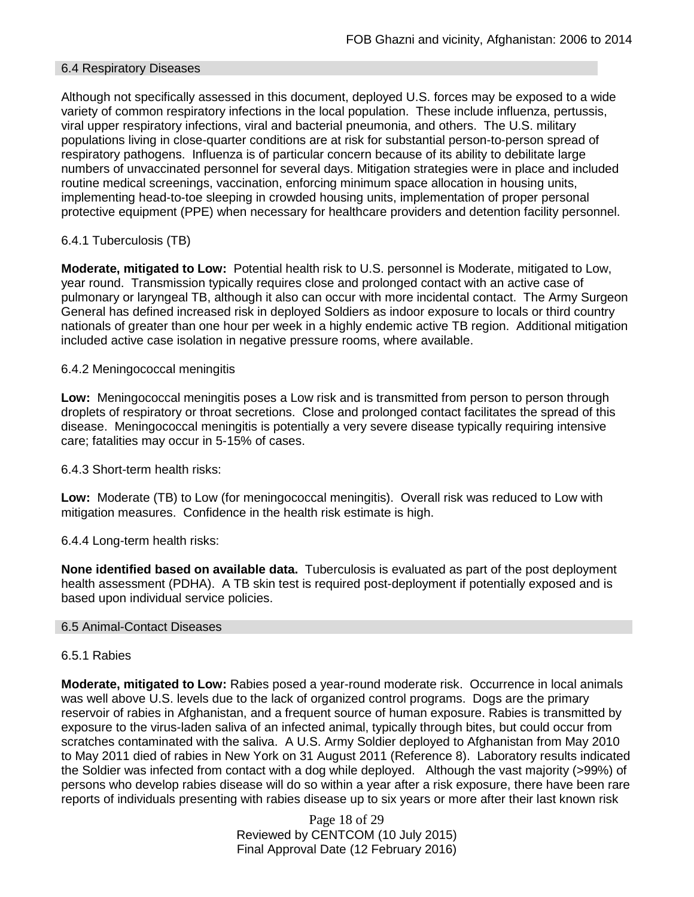### 6.4 Respiratory Diseases

Although not specifically assessed in this document, deployed U.S. forces may be exposed to a wide variety of common respiratory infections in the local population. These include influenza, pertussis, viral upper respiratory infections, viral and bacterial pneumonia, and others. The U.S. military populations living in close-quarter conditions are at risk for substantial person-to-person spread of respiratory pathogens. Influenza is of particular concern because of its ability to debilitate large numbers of unvaccinated personnel for several days. Mitigation strategies were in place and included routine medical screenings, vaccination, enforcing minimum space allocation in housing units, implementing head-to-toe sleeping in crowded housing units, implementation of proper personal protective equipment (PPE) when necessary for healthcare providers and detention facility personnel.

## 6.4.1 Tuberculosis (TB)

**Moderate, mitigated to Low:** Potential health risk to U.S. personnel is Moderate, mitigated to Low, year round. Transmission typically requires close and prolonged contact with an active case of pulmonary or laryngeal TB, although it also can occur with more incidental contact. The Army Surgeon General has defined increased risk in deployed Soldiers as indoor exposure to locals or third country nationals of greater than one hour per week in a highly endemic active TB region. Additional mitigation included active case isolation in negative pressure rooms, where available.

## 6.4.2 Meningococcal meningitis

**Low:** Meningococcal meningitis poses a Low risk and is transmitted from person to person through droplets of respiratory or throat secretions. Close and prolonged contact facilitates the spread of this disease. Meningococcal meningitis is potentially a very severe disease typically requiring intensive care; fatalities may occur in 5-15% of cases.

6.4.3 Short-term health risks:

**Low:** Moderate (TB) to Low (for meningococcal meningitis). Overall risk was reduced to Low with mitigation measures. Confidence in the health risk estimate is high.

### 6.4.4 Long-term health risks:

**None identified based on available data.** Tuberculosis is evaluated as part of the post deployment health assessment (PDHA). A TB skin test is required post-deployment if potentially exposed and is based upon individual service policies.

### 6.5 Animal-Contact Diseases

### 6.5.1 Rabies

**Moderate, mitigated to Low:** Rabies posed a year-round moderate risk. Occurrence in local animals was well above U.S. levels due to the lack of organized control programs. Dogs are the primary reservoir of rabies in Afghanistan, and a frequent source of human exposure. Rabies is transmitted by exposure to the virus-laden saliva of an infected animal, typically through bites, but could occur from scratches contaminated with the saliva. A U.S. Army Soldier deployed to Afghanistan from May 2010 to May 2011 died of rabies in New York on 31 August 2011 (Reference 8). Laboratory results indicated the Soldier was infected from contact with a dog while deployed. Although the vast majority (>99%) of persons who develop rabies disease will do so within a year after a risk exposure, there have been rare reports of individuals presenting with rabies disease up to six years or more after their last known risk

> Page 18 of 29 Reviewed by CENTCOM (10 July 2015) Final Approval Date (12 February 2016)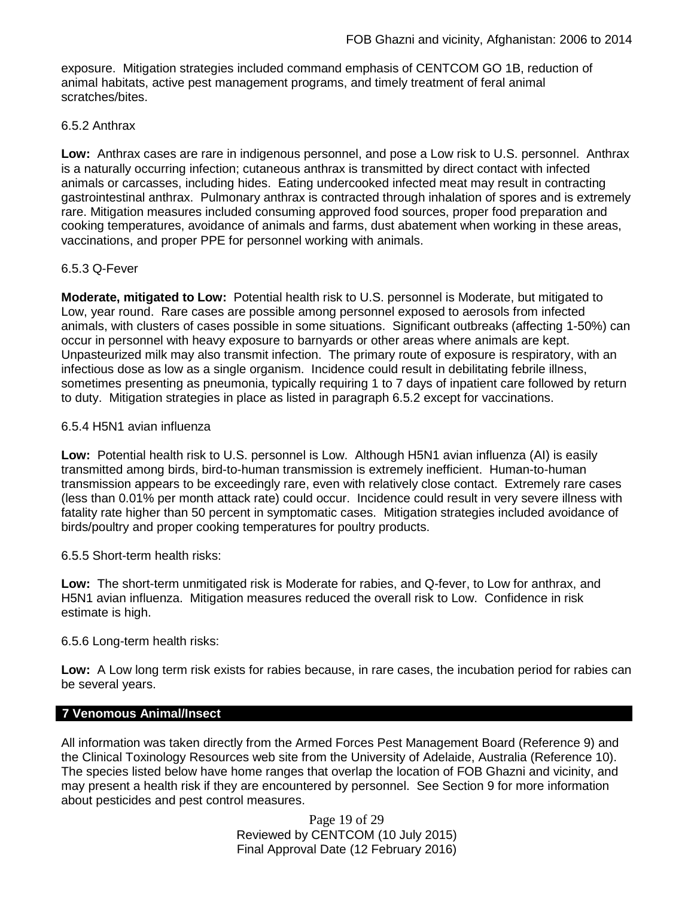exposure. Mitigation strategies included command emphasis of CENTCOM GO 1B, reduction of animal habitats, active pest management programs, and timely treatment of feral animal scratches/bites.

## 6.5.2 Anthrax

**Low:** Anthrax cases are rare in indigenous personnel, and pose a Low risk to U.S. personnel. Anthrax is a naturally occurring infection; cutaneous anthrax is transmitted by direct contact with infected animals or carcasses, including hides. Eating undercooked infected meat may result in contracting gastrointestinal anthrax. Pulmonary anthrax is contracted through inhalation of spores and is extremely rare. Mitigation measures included consuming approved food sources, proper food preparation and cooking temperatures, avoidance of animals and farms, dust abatement when working in these areas, vaccinations, and proper PPE for personnel working with animals.

## 6.5.3 Q-Fever

**Moderate, mitigated to Low:** Potential health risk to U.S. personnel is Moderate, but mitigated to Low, year round. Rare cases are possible among personnel exposed to aerosols from infected animals, with clusters of cases possible in some situations. Significant outbreaks (affecting 1-50%) can occur in personnel with heavy exposure to barnyards or other areas where animals are kept. Unpasteurized milk may also transmit infection. The primary route of exposure is respiratory, with an infectious dose as low as a single organism. Incidence could result in debilitating febrile illness, sometimes presenting as pneumonia, typically requiring 1 to 7 days of inpatient care followed by return to duty. Mitigation strategies in place as listed in paragraph 6.5.2 except for vaccinations.

## 6.5.4 H5N1 avian influenza

**Low:** Potential health risk to U.S. personnel is Low. Although H5N1 avian influenza (AI) is easily transmitted among birds, bird-to-human transmission is extremely inefficient. Human-to-human transmission appears to be exceedingly rare, even with relatively close contact. Extremely rare cases (less than 0.01% per month attack rate) could occur. Incidence could result in very severe illness with fatality rate higher than 50 percent in symptomatic cases. Mitigation strategies included avoidance of birds/poultry and proper cooking temperatures for poultry products.

## 6.5.5 Short-term health risks:

**Low:** The short-term unmitigated risk is Moderate for rabies, and Q-fever, to Low for anthrax, and H5N1 avian influenza. Mitigation measures reduced the overall risk to Low.Confidence in risk estimate is high.

## 6.5.6 Long-term health risks:

**Low:** A Low long term risk exists for rabies because, in rare cases, the incubation period for rabies can be several years.

### **7 Venomous Animal/Insect**

All information was taken directly from the Armed Forces Pest Management Board (Reference 9) and the Clinical Toxinology Resources web site from the University of Adelaide, Australia (Reference 10). The species listed below have home ranges that overlap the location of FOB Ghazni and vicinity, and may present a health risk if they are encountered by personnel. See Section 9 for more information about pesticides and pest control measures.

> Page 19 of 29 Reviewed by CENTCOM (10 July 2015) Final Approval Date (12 February 2016)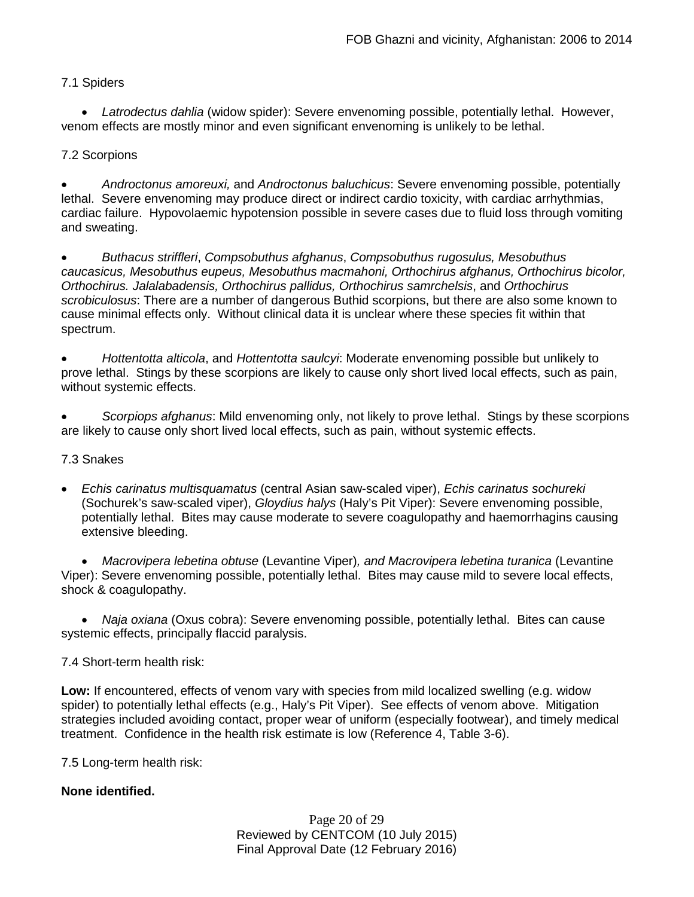## 7.1 Spiders

• *Latrodectus dahlia* (widow spider): Severe envenoming possible, potentially lethal. However, venom effects are mostly minor and even significant envenoming is unlikely to be lethal.

## 7.2 Scorpions

• *Androctonus amoreuxi,* and *Androctonus baluchicus*: Severe envenoming possible, potentially lethal. Severe envenoming may produce direct or indirect cardio toxicity, with cardiac arrhythmias, cardiac failure. Hypovolaemic hypotension possible in severe cases due to fluid loss through vomiting and sweating.

• *Buthacus striffleri*, *Compsobuthus afghanus*, *Compsobuthus rugosulus, Mesobuthus caucasicus, Mesobuthus eupeus, Mesobuthus macmahoni, Orthochirus afghanus, Orthochirus bicolor, Orthochirus. Jalalabadensis, Orthochirus pallidus, Orthochirus samrchelsis*, and *Orthochirus scrobiculosus*: There are a number of dangerous Buthid scorpions, but there are also some known to cause minimal effects only. Without clinical data it is unclear where these species fit within that spectrum.

• *Hottentotta alticola*, and *Hottentotta saulcyi*: Moderate envenoming possible but unlikely to prove lethal. Stings by these scorpions are likely to cause only short lived local effects, such as pain, without systemic effects.

• *Scorpiops afghanus*: Mild envenoming only, not likely to prove lethal. Stings by these scorpions are likely to cause only short lived local effects, such as pain, without systemic effects.

### 7.3 Snakes

• *Echis carinatus multisquamatus* (central Asian saw-scaled viper), *Echis carinatus sochureki*  (Sochurek's saw-scaled viper), *Gloydius halys* (Haly's Pit Viper): Severe envenoming possible, potentially lethal. Bites may cause moderate to severe coagulopathy and haemorrhagins causing extensive bleeding.

• *Macrovipera lebetina obtuse* (Levantine Viper)*, and Macrovipera lebetina turanica* (Levantine Viper): Severe envenoming possible, potentially lethal. Bites may cause mild to severe local effects, shock & coagulopathy.

• *Naja oxiana* (Oxus cobra): Severe envenoming possible, potentially lethal. Bites can cause systemic effects, principally flaccid paralysis.

### 7.4 Short-term health risk:

**Low:** If encountered, effects of venom vary with species from mild localized swelling (e.g. widow spider) to potentially lethal effects (e.g., Haly's Pit Viper). See effects of venom above. Mitigation strategies included avoiding contact, proper wear of uniform (especially footwear), and timely medical treatment. Confidence in the health risk estimate is low (Reference 4, Table 3-6).

7.5 Long-term health risk:

## **None identified.**

Page 20 of 29 Reviewed by CENTCOM (10 July 2015) Final Approval Date (12 February 2016)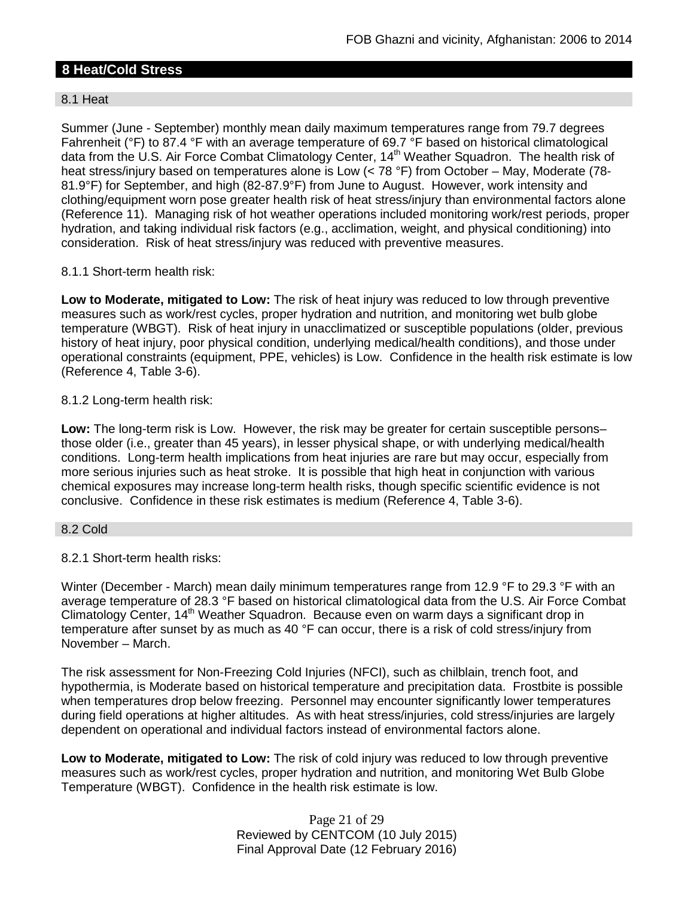# **8 Heat/Cold Stress**

## 8.1 Heat

Summer (June - September) monthly mean daily maximum temperatures range from 79.7 degrees Fahrenheit (°F) to 87.4 °F with an average temperature of 69.7 °F based on historical climatological data from the U.S. Air Force Combat Climatology Center, 14<sup>th</sup> Weather Squadron. The health risk of heat stress/injury based on temperatures alone is Low (< 78 °F) from October – May, Moderate (78-81.9°F) for September, and high (82-87.9°F) from June to August. However, work intensity and clothing/equipment worn pose greater health risk of heat stress/injury than environmental factors alone (Reference 11). Managing risk of hot weather operations included monitoring work/rest periods, proper hydration, and taking individual risk factors (e.g., acclimation, weight, and physical conditioning) into consideration. Risk of heat stress/injury was reduced with preventive measures.

## 8.1.1 Short-term health risk:

**Low to Moderate, mitigated to Low:** The risk of heat injury was reduced to low through preventive measures such as work/rest cycles, proper hydration and nutrition, and monitoring wet bulb globe temperature (WBGT). Risk of heat injury in unacclimatized or susceptible populations (older, previous history of heat injury, poor physical condition, underlying medical/health conditions), and those under operational constraints (equipment, PPE, vehicles) is Low. Confidence in the health risk estimate is low (Reference 4, Table 3-6).

## 8.1.2 Long-term health risk:

**Low:** The long-term risk is Low. However, the risk may be greater for certain susceptible persons– those older (i.e., greater than 45 years), in lesser physical shape, or with underlying medical/health conditions. Long-term health implications from heat injuries are rare but may occur, especially from more serious injuries such as heat stroke. It is possible that high heat in conjunction with various chemical exposures may increase long-term health risks, though specific scientific evidence is not conclusive. Confidence in these risk estimates is medium (Reference 4, Table 3-6).

### 8.2 Cold

## 8.2.1 Short-term health risks:

Winter (December - March) mean daily minimum temperatures range from 12.9 °F to 29.3 °F with an average temperature of 28.3 °F based on historical climatological data from the U.S. Air Force Combat Climatology Center, 14<sup>th</sup> Weather Squadron. Because even on warm days a significant drop in temperature after sunset by as much as 40 °F can occur, there is a risk of cold stress/injury from November – March.

The risk assessment for Non-Freezing Cold Injuries (NFCI), such as chilblain, trench foot, and hypothermia, is Moderate based on historical temperature and precipitation data. Frostbite is possible when temperatures drop below freezing. Personnel may encounter significantly lower temperatures during field operations at higher altitudes. As with heat stress/injuries, cold stress/injuries are largely dependent on operational and individual factors instead of environmental factors alone.

**Low to Moderate, mitigated to Low:** The risk of cold injury was reduced to low through preventive measures such as work/rest cycles, proper hydration and nutrition, and monitoring Wet Bulb Globe Temperature (WBGT). Confidence in the health risk estimate is low.

> Page 21 of 29 Reviewed by CENTCOM (10 July 2015) Final Approval Date (12 February 2016)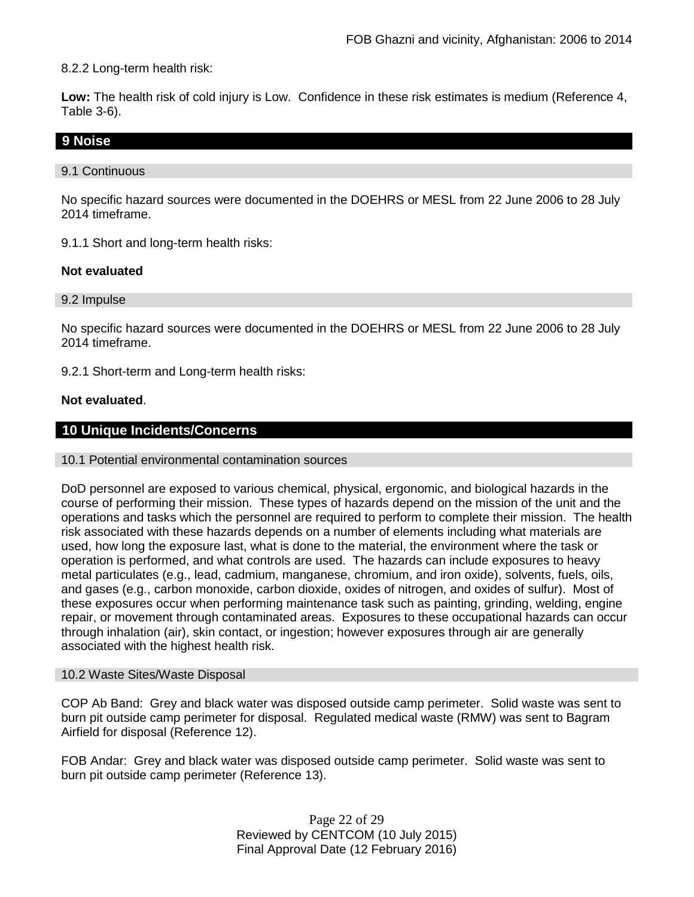8.2.2 Long-term health risk:

**Low:** The health risk of cold injury is Low. Confidence in these risk estimates is medium (Reference 4, Table 3-6).

## **9 Noise**

### 9.1 Continuous

No specific hazard sources were documented in the DOEHRS or MESL from 22 June 2006 to 28 July 2014 timeframe.

9.1.1 Short and long-term health risks:

## **Not evaluated**

9.2 Impulse

No specific hazard sources were documented in the DOEHRS or MESL from 22 June 2006 to 28 July 2014 timeframe.

9.2.1 Short-term and Long-term health risks:

## **Not evaluated**.

# **10 Unique Incidents/Concerns**

### 10.1 Potential environmental contamination sources

DoD personnel are exposed to various chemical, physical, ergonomic, and biological hazards in the course of performing their mission. These types of hazards depend on the mission of the unit and the operations and tasks which the personnel are required to perform to complete their mission. The health risk associated with these hazards depends on a number of elements including what materials are used, how long the exposure last, what is done to the material, the environment where the task or operation is performed, and what controls are used. The hazards can include exposures to heavy metal particulates (e.g., lead, cadmium, manganese, chromium, and iron oxide), solvents, fuels, oils, and gases (e.g., carbon monoxide, carbon dioxide, oxides of nitrogen, and oxides of sulfur). Most of these exposures occur when performing maintenance task such as painting, grinding, welding, engine repair, or movement through contaminated areas. Exposures to these occupational hazards can occur through inhalation (air), skin contact, or ingestion; however exposures through air are generally associated with the highest health risk.

## 10.2 Waste Sites/Waste Disposal

COP Ab Band: Grey and black water was disposed outside camp perimeter. Solid waste was sent to burn pit outside camp perimeter for disposal. Regulated medical waste (RMW) was sent to Bagram Airfield for disposal (Reference 12).

FOB Andar: Grey and black water was disposed outside camp perimeter. Solid waste was sent to burn pit outside camp perimeter (Reference 13).

> Page 22 of 29 Reviewed by CENTCOM (10 July 2015) Final Approval Date (12 February 2016)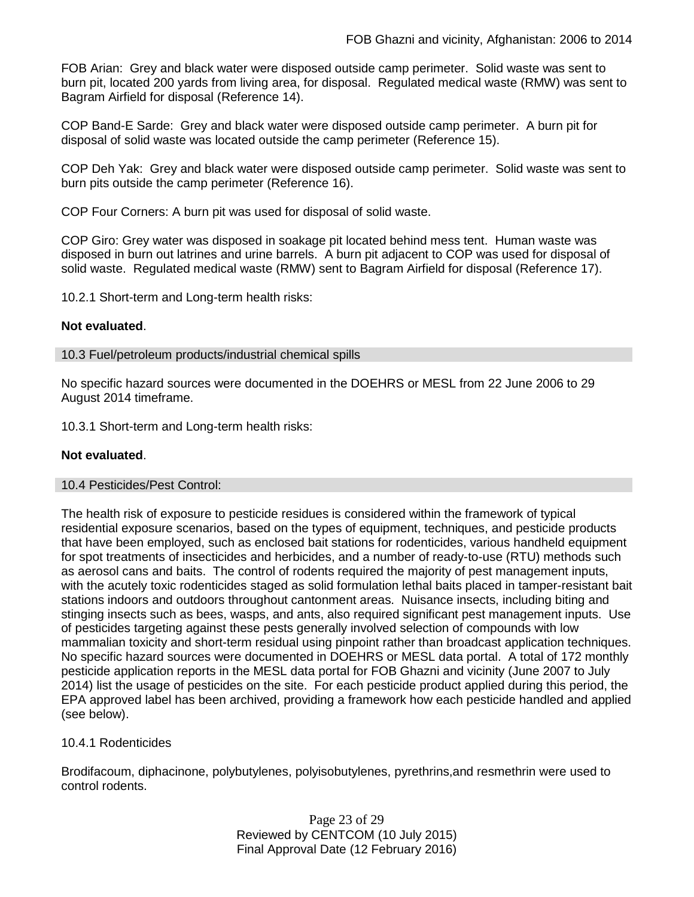FOB Arian: Grey and black water were disposed outside camp perimeter. Solid waste was sent to burn pit, located 200 yards from living area, for disposal. Regulated medical waste (RMW) was sent to Bagram Airfield for disposal (Reference 14).

COP Band-E Sarde: Grey and black water were disposed outside camp perimeter. A burn pit for disposal of solid waste was located outside the camp perimeter (Reference 15).

COP Deh Yak: Grey and black water were disposed outside camp perimeter. Solid waste was sent to burn pits outside the camp perimeter (Reference 16).

COP Four Corners: A burn pit was used for disposal of solid waste.

COP Giro: Grey water was disposed in soakage pit located behind mess tent. Human waste was disposed in burn out latrines and urine barrels. A burn pit adjacent to COP was used for disposal of solid waste. Regulated medical waste (RMW) sent to Bagram Airfield for disposal (Reference 17).

10.2.1 Short-term and Long-term health risks:

#### **Not evaluated**.

10.3 Fuel/petroleum products/industrial chemical spills

No specific hazard sources were documented in the DOEHRS or MESL from 22 June 2006 to 29 August 2014 timeframe.

10.3.1 Short-term and Long-term health risks:

#### **Not evaluated**.

#### 10.4 Pesticides/Pest Control:

The health risk of exposure to pesticide residues is considered within the framework of typical residential exposure scenarios, based on the types of equipment, techniques, and pesticide products that have been employed, such as enclosed bait stations for rodenticides, various handheld equipment for spot treatments of insecticides and herbicides, and a number of ready-to-use (RTU) methods such as aerosol cans and baits. The control of rodents required the majority of pest management inputs, with the acutely toxic rodenticides staged as solid formulation lethal baits placed in tamper-resistant bait stations indoors and outdoors throughout cantonment areas. Nuisance insects, including biting and stinging insects such as bees, wasps, and ants, also required significant pest management inputs. Use of pesticides targeting against these pests generally involved selection of compounds with low mammalian toxicity and short-term residual using pinpoint rather than broadcast application techniques. No specific hazard sources were documented in DOEHRS or MESL data portal. A total of 172 monthly pesticide application reports in the MESL data portal for FOB Ghazni and vicinity (June 2007 to July 2014) list the usage of pesticides on the site. For each pesticide product applied during this period, the EPA approved label has been archived, providing a framework how each pesticide handled and applied (see below).

### 10.4.1 Rodenticides

Brodifacoum, diphacinone, polybutylenes, polyisobutylenes, pyrethrins,and resmethrin were used to control rodents.

> Page 23 of 29 Reviewed by CENTCOM (10 July 2015) Final Approval Date (12 February 2016)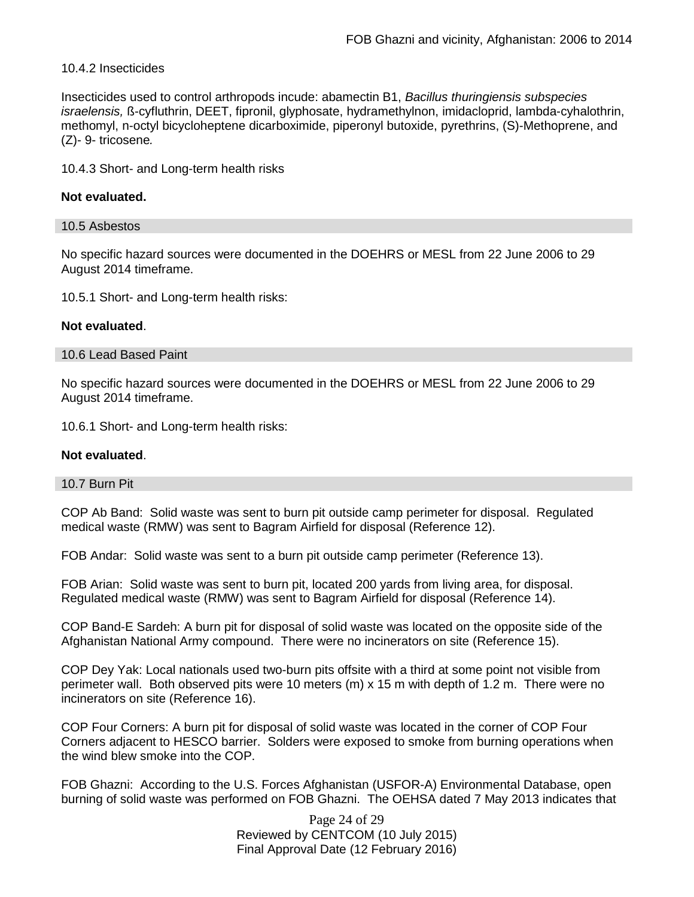### 10.4.2 Insecticides

Insecticides used to control arthropods incude: abamectin B1, *Bacillus thuringiensis subspecies israelensis,* ß-cyfluthrin, DEET, fipronil, glyphosate, hydramethylnon, imidacloprid, lambda-cyhalothrin, methomyl, n-octyl bicycloheptene dicarboximide, piperonyl butoxide, pyrethrins, (S)-Methoprene, and (Z)- 9- tricosene*.*

10.4.3 Short- and Long-term health risks

#### **Not evaluated.**

#### 10.5 Asbestos

No specific hazard sources were documented in the DOEHRS or MESL from 22 June 2006 to 29 August 2014 timeframe.

10.5.1 Short- and Long-term health risks:

### **Not evaluated**.

### 10.6 Lead Based Paint

No specific hazard sources were documented in the DOEHRS or MESL from 22 June 2006 to 29 August 2014 timeframe.

10.6.1 Short- and Long-term health risks:

#### **Not evaluated**.

#### 10.7 Burn Pit

COP Ab Band: Solid waste was sent to burn pit outside camp perimeter for disposal. Regulated medical waste (RMW) was sent to Bagram Airfield for disposal (Reference 12).

FOB Andar: Solid waste was sent to a burn pit outside camp perimeter (Reference 13).

FOB Arian: Solid waste was sent to burn pit, located 200 yards from living area, for disposal. Regulated medical waste (RMW) was sent to Bagram Airfield for disposal (Reference 14).

COP Band-E Sardeh: A burn pit for disposal of solid waste was located on the opposite side of the Afghanistan National Army compound. There were no incinerators on site (Reference 15).

COP Dey Yak: Local nationals used two-burn pits offsite with a third at some point not visible from perimeter wall. Both observed pits were 10 meters (m) x 15 m with depth of 1.2 m. There were no incinerators on site (Reference 16).

COP Four Corners: A burn pit for disposal of solid waste was located in the corner of COP Four Corners adjacent to HESCO barrier. Solders were exposed to smoke from burning operations when the wind blew smoke into the COP.

FOB Ghazni: According to the U.S. Forces Afghanistan (USFOR-A) Environmental Database, open burning of solid waste was performed on FOB Ghazni. The OEHSA dated 7 May 2013 indicates that

> Page 24 of 29 Reviewed by CENTCOM (10 July 2015) Final Approval Date (12 February 2016)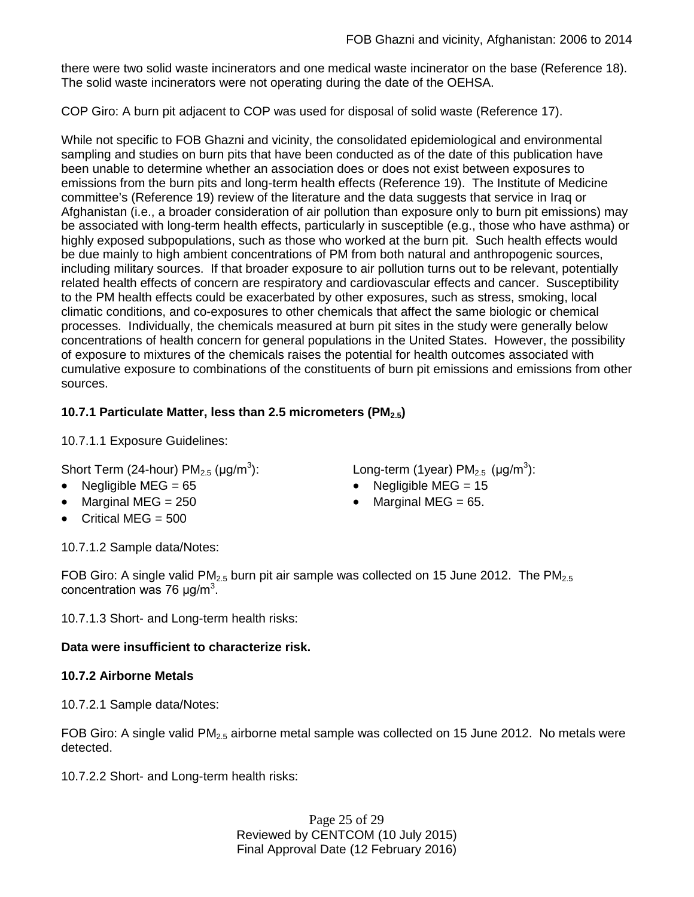there were two solid waste incinerators and one medical waste incinerator on the base (Reference 18). The solid waste incinerators were not operating during the date of the OEHSA.

COP Giro: A burn pit adjacent to COP was used for disposal of solid waste (Reference 17).

While not specific to FOB Ghazni and vicinity, the consolidated epidemiological and environmental sampling and studies on burn pits that have been conducted as of the date of this publication have been unable to determine whether an association does or does not exist between exposures to emissions from the burn pits and long-term health effects (Reference 19). The Institute of Medicine committee's (Reference 19) review of the literature and the data suggests that service in Iraq or Afghanistan (i.e., a broader consideration of air pollution than exposure only to burn pit emissions) may be associated with long-term health effects, particularly in susceptible (e.g., those who have asthma) or highly exposed subpopulations, such as those who worked at the burn pit. Such health effects would be due mainly to high ambient concentrations of PM from both natural and anthropogenic sources, including military sources. If that broader exposure to air pollution turns out to be relevant, potentially related health effects of concern are respiratory and cardiovascular effects and cancer. Susceptibility to the PM health effects could be exacerbated by other exposures, such as stress, smoking, local climatic conditions, and co-exposures to other chemicals that affect the same biologic or chemical processes. Individually, the chemicals measured at burn pit sites in the study were generally below concentrations of health concern for general populations in the United States. However, the possibility of exposure to mixtures of the chemicals raises the potential for health outcomes associated with cumulative exposure to combinations of the constituents of burn pit emissions and emissions from other sources.

# **10.7.1 Particulate Matter, less than 2.5 micrometers (PM2.5)**

10.7.1.1 Exposure Guidelines:

Short Term (24-hour)  $PM_{2.5}$  ( $\mu$ g/m<sup>3</sup>):

- 
- 
- Critical MEG  $= 500$

): Long-term (1year) PM<sub>2.5</sub> (µg/m<sup>3</sup>):

- Negligible MEG = 65 Negligible MEG = 15
- Marginal MEG =  $250$  Marginal MEG =  $65$ .

10.7.1.2 Sample data/Notes:

FOB Giro: A single valid PM<sub>2.5</sub> burn pit air sample was collected on 15 June 2012. The PM<sub>2.5</sub> concentration was 76  $\mu$ g/m<sup>3</sup>.

10.7.1.3 Short- and Long-term health risks:

# **Data were insufficient to characterize risk.**

# **10.7.2 Airborne Metals**

10.7.2.1 Sample data/Notes:

FOB Giro: A single valid  $PM_{2.5}$  airborne metal sample was collected on 15 June 2012. No metals were detected.

10.7.2.2 Short- and Long-term health risks:

Page 25 of 29 Reviewed by CENTCOM (10 July 2015) Final Approval Date (12 February 2016)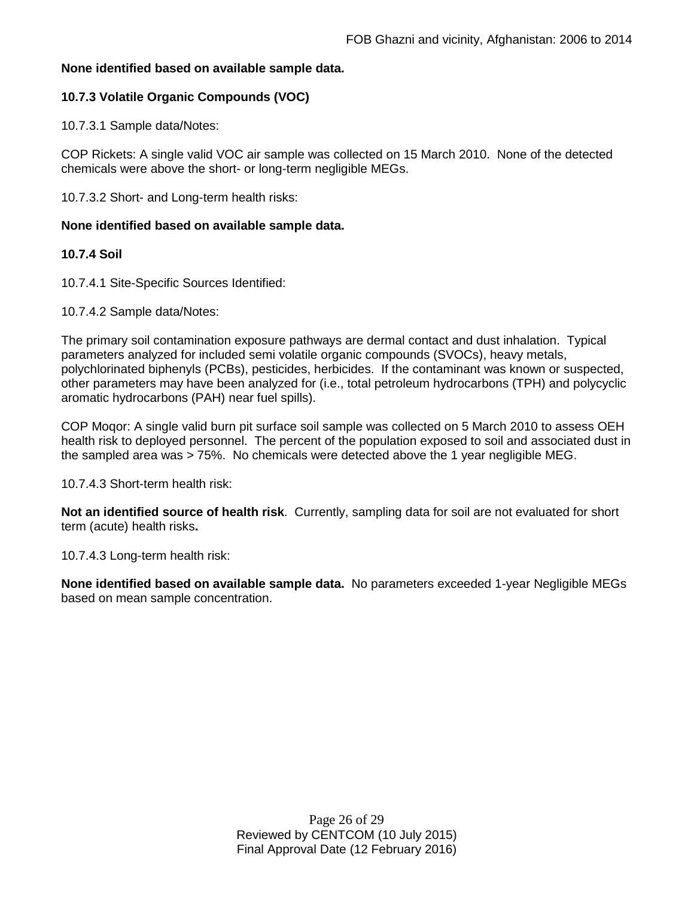## **None identified based on available sample data.**

## **10.7.3 Volatile Organic Compounds (VOC)**

10.7.3.1 Sample data/Notes:

COP Rickets: A single valid VOC air sample was collected on 15 March 2010. None of the detected chemicals were above the short- or long-term negligible MEGs.

10.7.3.2 Short- and Long-term health risks:

#### **None identified based on available sample data.**

### **10.7.4 Soil**

10.7.4.1 Site-Specific Sources Identified:

#### 10.7.4.2 Sample data/Notes:

The primary soil contamination exposure pathways are dermal contact and dust inhalation. Typical parameters analyzed for included semi volatile organic compounds (SVOCs), heavy metals, polychlorinated biphenyls (PCBs), pesticides, herbicides. If the contaminant was known or suspected, other parameters may have been analyzed for (i.e., total petroleum hydrocarbons (TPH) and polycyclic aromatic hydrocarbons (PAH) near fuel spills).

COP Moqor: A single valid burn pit surface soil sample was collected on 5 March 2010 to assess OEH health risk to deployed personnel. The percent of the population exposed to soil and associated dust in the sampled area was > 75%. No chemicals were detected above the 1 year negligible MEG.

10.7.4.3 Short-term health risk:

**Not an identified source of health risk**. Currently, sampling data for soil are not evaluated for short term (acute) health risks**.**

10.7.4.3 Long-term health risk:

**None identified based on available sample data.** No parameters exceeded 1-year Negligible MEGs based on mean sample concentration.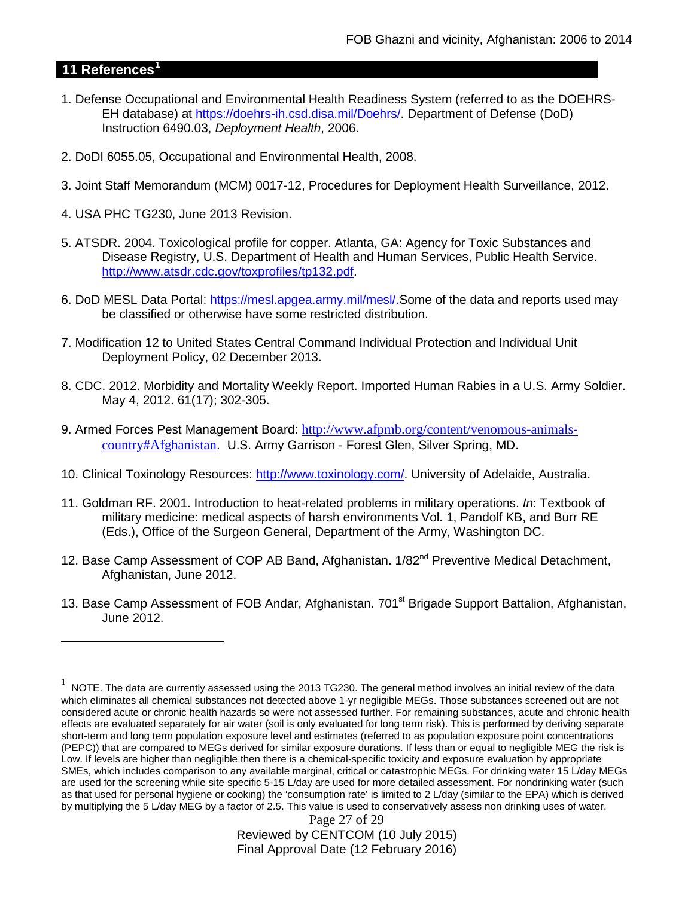# **11 References[1](#page-26-0)**

 $\overline{a}$ 

- 1. Defense Occupational and Environmental Health Readiness System (referred to as the DOEHRS-EH database) at https://doehrs-ih.csd.disa.mil/Doehrs/. Department of Defense (DoD) Instruction 6490.03, *Deployment Health*, 2006.
- 2. DoDI 6055.05, Occupational and Environmental Health, 2008.
- 3. Joint Staff Memorandum (MCM) 0017-12, Procedures for Deployment Health Surveillance, 2012.
- 4. USA PHC TG230, June 2013 Revision.
- 5. ATSDR. 2004. Toxicological profile for copper. Atlanta, GA: Agency for Toxic Substances and Disease Registry, U.S. Department of Health and Human Services, Public Health Service. [http://www.atsdr.cdc.gov/toxprofiles/tp132.pdf.](http://www.atsdr.cdc.gov/toxprofiles/tp132.pdf)
- 6. DoD MESL Data Portal: https://mesl.apgea.army.mil/mesl/.Some of the data and reports used may be classified or otherwise have some restricted distribution.
- 7. Modification 12 to United States Central Command Individual Protection and Individual Unit Deployment Policy, 02 December 2013.
- 8. CDC. 2012. Morbidity and Mortality Weekly Report. Imported Human Rabies in a U.S. Army Soldier. May 4, 2012. 61(17); 302-305.
- 9. Armed Forces Pest Management Board: [http://www.afpmb.org/content/venomous-animals](http://www.afpmb.org/content/venomous-animals-country#Afghanistan)[country#Afghanistan](http://www.afpmb.org/content/venomous-animals-country#Afghanistan). U.S. Army Garrison - Forest Glen, Silver Spring, MD.
- 10. Clinical Toxinology Resources: [http://www.toxinology.com/.](http://www.toxinology.com/) University of Adelaide, Australia.
- 11. Goldman RF. 2001. Introduction to heat-related problems in military operations. *In*: Textbook of military medicine: medical aspects of harsh environments Vol. 1, Pandolf KB, and Burr RE (Eds.), Office of the Surgeon General, Department of the Army, Washington DC.
- 12. Base Camp Assessment of COP AB Band, Afghanistan. 1/82<sup>nd</sup> Preventive Medical Detachment, Afghanistan, June 2012.
- 13. Base Camp Assessment of FOB Andar, Afghanistan. 701<sup>st</sup> Brigade Support Battalion, Afghanistan, June 2012.

<span id="page-26-0"></span> $1$  NOTE. The data are currently assessed using the 2013 TG230. The general method involves an initial review of the data which eliminates all chemical substances not detected above 1-yr negligible MEGs. Those substances screened out are not considered acute or chronic health hazards so were not assessed further. For remaining substances, acute and chronic health effects are evaluated separately for air water (soil is only evaluated for long term risk). This is performed by deriving separate short-term and long term population exposure level and estimates (referred to as population exposure point concentrations (PEPC)) that are compared to MEGs derived for similar exposure durations. If less than or equal to negligible MEG the risk is Low. If levels are higher than negligible then there is a chemical-specific toxicity and exposure evaluation by appropriate SMEs, which includes comparison to any available marginal, critical or catastrophic MEGs. For drinking water 15 L/day MEGs are used for the screening while site specific 5-15 L/day are used for more detailed assessment. For nondrinking water (such as that used for personal hygiene or cooking) the 'consumption rate' is limited to 2 L/day (similar to the EPA) which is derived by multiplying the 5 L/day MEG by a factor of 2.5. This value is used to conservatively assess non drinking uses of water.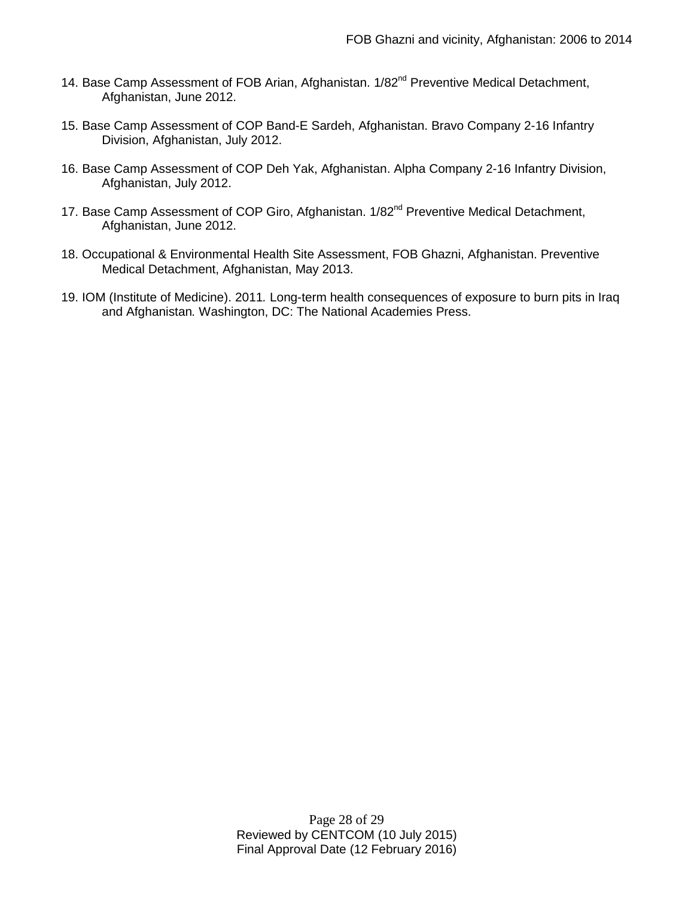- 14. Base Camp Assessment of FOB Arian, Afghanistan. 1/82<sup>nd</sup> Preventive Medical Detachment, Afghanistan, June 2012.
- 15. Base Camp Assessment of COP Band-E Sardeh, Afghanistan. Bravo Company 2-16 Infantry Division, Afghanistan, July 2012.
- 16. Base Camp Assessment of COP Deh Yak, Afghanistan. Alpha Company 2-16 Infantry Division, Afghanistan, July 2012.
- 17. Base Camp Assessment of COP Giro, Afghanistan. 1/82<sup>nd</sup> Preventive Medical Detachment, Afghanistan, June 2012.
- 18. Occupational & Environmental Health Site Assessment, FOB Ghazni, Afghanistan. Preventive Medical Detachment, Afghanistan, May 2013.
- 19. IOM (Institute of Medicine). 2011*.* Long-term health consequences of exposure to burn pits in Iraq and Afghanistan*.* Washington, DC: The National Academies Press.